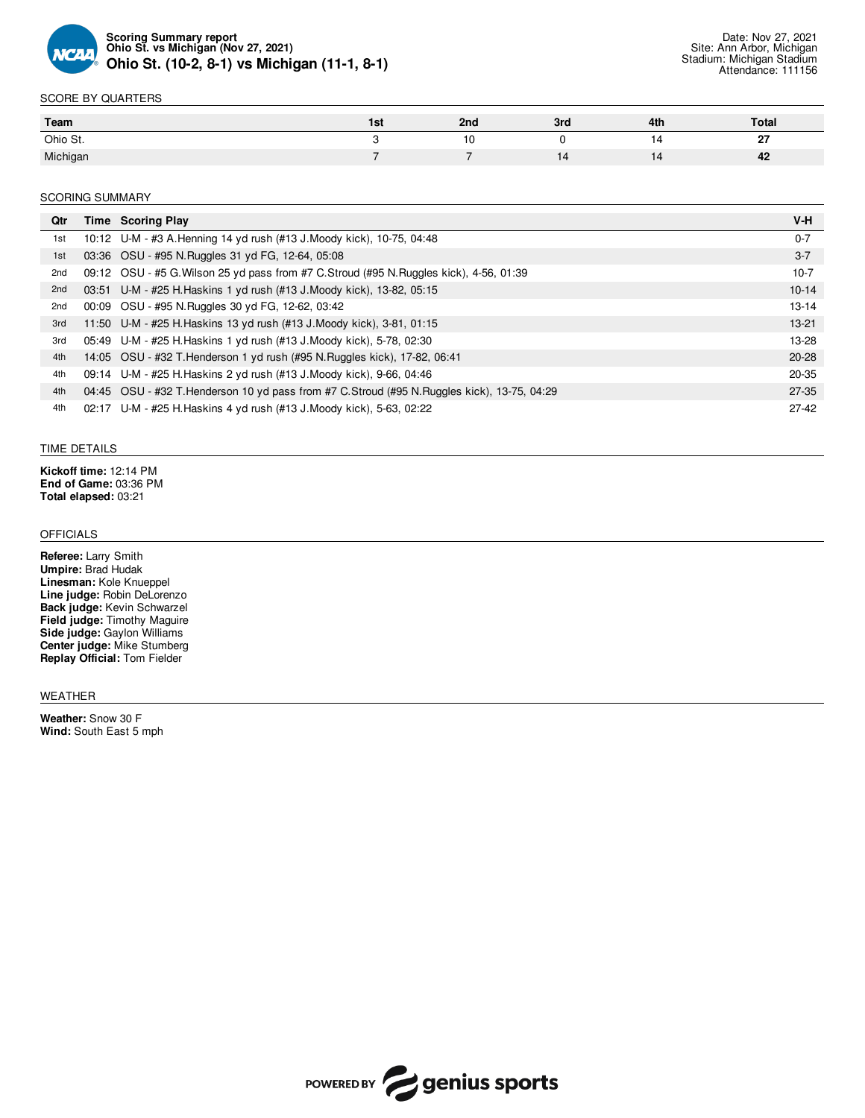

#### SCORE BY QUARTERS

| Team     | 15 L | 2nd | 3ro | 4th | Total      |
|----------|------|-----|-----|-----|------------|
| Ohio St. |      | -10 |     |     | $\sim$<br> |
| Michigan |      | --  | IΔ  |     | 42         |

#### SCORING SUMMARY

| Qtr | Time Scoring Play                                                                          | V-H       |
|-----|--------------------------------------------------------------------------------------------|-----------|
| 1st | 10:12 U-M - #3 A. Henning 14 yd rush (#13 J. Moody kick), 10-75, 04:48                     | $0 - 7$   |
| 1st | 03:36 OSU - #95 N.Ruggles 31 yd FG, 12-64, 05:08                                           | $3 - 7$   |
| 2nd | 09:12 OSU - #5 G. Wilson 25 yd pass from #7 C. Stroud (#95 N. Ruggles kick), 4-56, 01:39   | $10-7$    |
| 2nd | 03:51 U-M - #25 H. Haskins 1 yd rush (#13 J. Moody kick), 13-82, 05:15                     | $10 - 14$ |
| 2nd | 00:09 OSU - #95 N.Ruggles 30 yd FG, 12-62, 03:42                                           | $13-14$   |
| 3rd | 11:50 U-M - #25 H. Haskins 13 yd rush (#13 J. Moody kick), 3-81, 01:15                     | $13-21$   |
| 3rd | 05:49 U-M - #25 H. Haskins 1 yd rush (#13 J. Moody kick), 5-78, 02:30                      | 13-28     |
| 4th | 14:05 OSU - #32 T. Henderson 1 yd rush (#95 N. Ruggles kick), 17-82, 06:41                 | $20 - 28$ |
| 4th | 09:14 U-M - #25 H. Haskins 2 yd rush (#13 J. Moody kick), 9-66, 04:46                      | 20-35     |
| 4th | 04:45 OSU - #32 T.Henderson 10 yd pass from #7 C.Stroud (#95 N.Ruggles kick), 13-75, 04:29 | $27 - 35$ |
| 4th | 02:17 U-M - #25 H. Haskins 4 yd rush (#13 J. Moody kick), 5-63, 02:22                      | $27-42$   |

#### TIME DETAILS

**Kickoff time:** 12:14 PM **End of Game:** 03:36 PM **Total elapsed:** 03:21

## **OFFICIALS**

**Referee:** Larry Smith **Umpire:** Brad Hudak **Linesman:** Kole Knueppel **Line judge:** Robin DeLorenzo **Back judge:** Kevin Schwarzel **Field judge:** Timothy Maguire **Side judge:** Gaylon Williams **Center judge:** Mike Stumberg **Replay Official:** Tom Fielder

#### WEATHER

**Weather:** Snow 30 F **Wind:** South East 5 mph

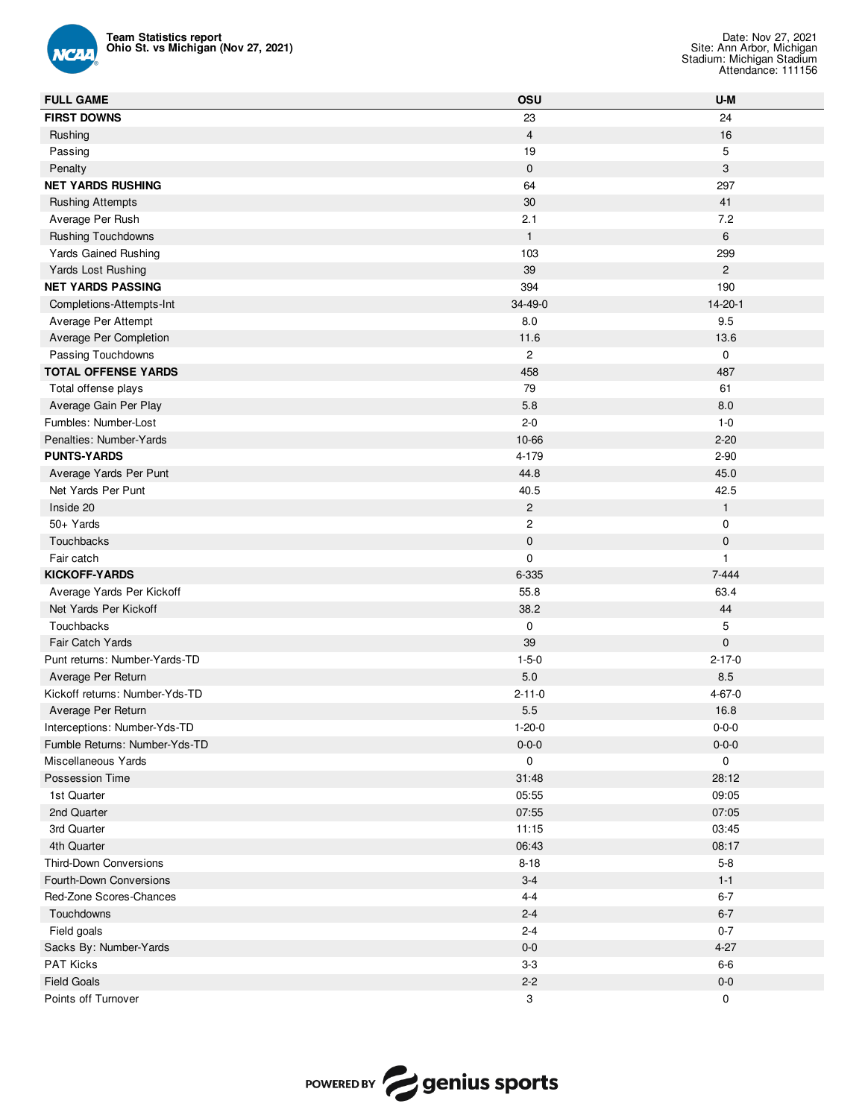

| <b>Team Statistics report</b><br>Ohio St. vs Michigan (Nov 27, 2021) |                | Date: Nov 27, 2021<br>Site: Ann Arbor, Michigan<br>Stadium: Michigan Stadium<br>Attendance: 111156 |
|----------------------------------------------------------------------|----------------|----------------------------------------------------------------------------------------------------|
| <b>FULL GAME</b>                                                     | OSU            | U-M                                                                                                |
| <b>FIRST DOWNS</b>                                                   | 23             | 24                                                                                                 |
| Rushing                                                              | $\overline{4}$ | 16                                                                                                 |
| Passing                                                              | 19             | 5                                                                                                  |
| Penalty                                                              | $\mathbf 0$    | $\mathsf 3$                                                                                        |
| <b>NET YARDS RUSHING</b>                                             | 64             | 297                                                                                                |
| <b>Rushing Attempts</b>                                              | 30             | 41                                                                                                 |
| Average Per Rush                                                     | 2.1            | 7.2                                                                                                |
| <b>Rushing Touchdowns</b>                                            | $\mathbf{1}$   | 6                                                                                                  |
| <b>Yards Gained Rushing</b>                                          | 103            | 299                                                                                                |
| Yards Lost Rushing                                                   | 39             | $\overline{2}$                                                                                     |
| <b>NET YARDS PASSING</b>                                             | 394            | 190                                                                                                |
| Completions-Attempts-Int                                             | 34-49-0        | $14 - 20 - 1$                                                                                      |
| Average Per Attempt                                                  | 8.0            | 9.5                                                                                                |
| Average Per Completion                                               | 11.6           | 13.6                                                                                               |
| Passing Touchdowns                                                   | $\mathbf{2}$   | $\mathbf 0$                                                                                        |
| <b>TOTAL OFFENSE YARDS</b>                                           | 458            | 487                                                                                                |
| Total offense plays                                                  | 79             | 61                                                                                                 |
| Average Gain Per Play                                                | 5.8            | 8.0                                                                                                |
| Fumbles: Number-Lost                                                 | $2 - 0$        | $1 - 0$                                                                                            |
| Penalties: Number-Yards                                              | 10-66          | $2 - 20$                                                                                           |
| <b>PUNTS-YARDS</b>                                                   | 4-179          | $2 - 90$                                                                                           |
| Average Yards Per Punt                                               | 44.8           | 45.0                                                                                               |
| Net Yards Per Punt                                                   | 40.5           | 42.5                                                                                               |
| Inside 20                                                            | $\mathbf{2}$   | $\mathbf{1}$                                                                                       |
| 50+ Yards                                                            | $\overline{c}$ | 0                                                                                                  |
| Touchbacks                                                           | $\pmb{0}$      | $\mathbf 0$                                                                                        |
| Fair catch                                                           | $\mathbf 0$    | $\mathbf{1}$                                                                                       |
| <b>KICKOFF-YARDS</b>                                                 | 6-335          | $7 - 444$                                                                                          |
| Average Yards Per Kickoff                                            | 55.8           | 63.4                                                                                               |
| Net Yards Per Kickoff                                                | 38.2           | 44                                                                                                 |
| Touchbacks                                                           | 0              | 5                                                                                                  |
| Fair Catch Yards                                                     | 39             | $\mathbf 0$                                                                                        |
| Punt returns: Number-Yards-TD                                        | $1 - 5 - 0$    | $2 - 17 - 0$                                                                                       |
| Average Per Return                                                   | $5.0\,$        | 8.5                                                                                                |
| Kickoff returns: Number-Yds-TD                                       | $2 - 11 - 0$   | $4 - 67 - 0$                                                                                       |
| Average Per Return                                                   | $5.5\,$        | 16.8                                                                                               |
| Interceptions: Number-Yds-TD                                         | $1 - 20 - 0$   | $0 - 0 - 0$                                                                                        |
| Fumble Returns: Number-Yds-TD                                        | $0 - 0 - 0$    | $0 - 0 - 0$                                                                                        |
| Miscellaneous Yards                                                  | 0              | 0                                                                                                  |
| Possession Time                                                      | 31:48          | 28:12                                                                                              |
| 1st Quarter                                                          | 05:55          | 09:05                                                                                              |
| 2nd Quarter                                                          | 07:55          | 07:05                                                                                              |
| 3rd Quarter                                                          | 11:15          | 03:45                                                                                              |
| 4th Quarter                                                          | 06:43          | 08:17                                                                                              |
| Third-Down Conversions                                               | $8 - 18$       | $5-8$                                                                                              |
| Fourth-Down Conversions                                              | $3-4$          | $1 - 1$                                                                                            |
| Red-Zone Scores-Chances                                              | $4 - 4$        | $6 - 7$                                                                                            |
| Touchdowns                                                           | $2 - 4$        | $6 - 7$                                                                                            |
| Field goals                                                          | $2 - 4$        | $0 - 7$                                                                                            |
| Sacks By: Number-Yards                                               | $0-0$          | $4 - 27$                                                                                           |
| PAT Kicks                                                            | $3-3$          | $6-6$                                                                                              |
| <b>Field Goals</b>                                                   | $2 - 2$        | $0-0$                                                                                              |
| Points off Turnover                                                  | 3              | 0                                                                                                  |

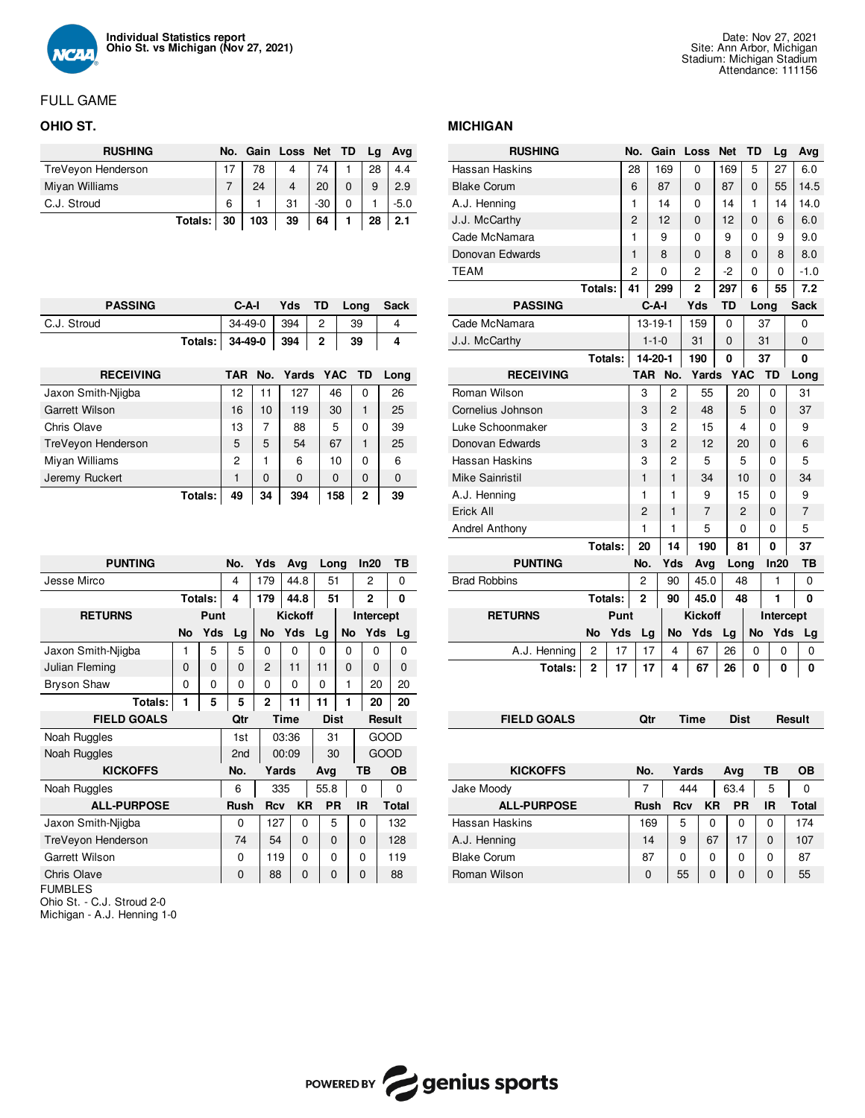

# FULL GAME

## **OHIO ST.**

| <b>RUSHING</b>     |           |    |     | No. Gain Loss Net TD |       | La | Avg    |
|--------------------|-----------|----|-----|----------------------|-------|----|--------|
| TreVeyon Henderson |           |    | 78  | 4                    | 74    | 28 | 4.4    |
| Miyan Williams     |           |    | 24  |                      | 20    | 9  | 2.9    |
| C.J. Stroud        |           | 6  |     | 31                   | $-30$ |    | $-5.0$ |
|                    | Totals: I | 30 | 103 | 39                   | 64    | 28 | 2.1    |

| <b>PASSING</b>        |         | C-A-I          |          | Yds          | TD             |    | Long     | Sack |
|-----------------------|---------|----------------|----------|--------------|----------------|----|----------|------|
| C.J. Stroud           |         | $34-49-0$      |          | 394          | $\overline{c}$ |    | 39       | 4    |
|                       | Totals: | 34-49-0        |          | 394          | $\mathbf 2$    | 39 |          | 4    |
|                       |         |                |          |              |                |    |          |      |
| <b>RECEIVING</b>      |         | TAR No.        |          | Yards YAC TD |                |    |          | Long |
| Jaxon Smith-Niigba    |         | 12             | 11       | 127          | 46             |    | 0        | 26   |
| <b>Garrett Wilson</b> |         | 16             | 10       | 119          | 30             |    | 1        | 25   |
| Chris Olave           |         | 13             | 7        | 88           | 5              |    | 0        | 39   |
| TreVeyon Henderson    |         | 5              | 5        | 54           | 67             |    | 1        | 25   |
| Miyan Williams        |         | $\overline{c}$ | 1        | 6            | 10             |    | 0        | 6    |
| Jeremy Ruckert        |         | 1              | $\Omega$ | $\Omega$     | $\Omega$       |    | $\Omega$ | 0    |
|                       | Totals: | 49             | 34       | 394          | 158            |    | 2        | 39   |

| <b>PUNTING</b>     |           |          | No.         |  | Yds            | Avg         |  | Long        |    | In20           |             | TВ           |
|--------------------|-----------|----------|-------------|--|----------------|-------------|--|-------------|----|----------------|-------------|--------------|
| Jesse Mirco        |           |          | 4           |  | 179            | 44.8        |  | 51          | 2  |                |             | 0            |
|                    |           | Totals:  | 4           |  | 179            | 44.8        |  | 51          |    | $\overline{2}$ |             | 0            |
| <b>RETURNS</b>     |           | Punt     |             |  | <b>Kickoff</b> |             |  |             |    | Intercept      |             |              |
|                    | <b>No</b> | Yds      | Lg          |  | No             | Yds         |  | Lg          | No | Yds            |             | Lg           |
| Jaxon Smith-Niigba | 1         | 5        | 5           |  | 0              | 0           |  | 0           | 0  | 0              |             | 0            |
| Julian Fleming     | 0         | $\Omega$ | 0           |  | $\overline{2}$ | 11          |  | 11          | 0  | $\Omega$       |             | 0            |
| <b>Bryson Shaw</b> | 0         | 0        | 0           |  | 0              | 0           |  | 0           | 1  | 20             |             | 20           |
| Totals:            | 1         | 5        | 5           |  | $\overline{2}$ | 11          |  | 11          | 1  | 20             |             | 20           |
| <b>FIELD GOALS</b> |           |          | Qtr         |  |                | <b>Time</b> |  | <b>Dist</b> |    |                | Result      |              |
| Noah Ruggles       |           |          | 1st         |  |                | 03:36       |  | 31          |    |                | GOOD        |              |
| Noah Ruggles       |           |          | 2nd         |  |                | 00:09       |  | 30          |    |                | <b>GOOD</b> |              |
| <b>KICKOFFS</b>    |           |          | No.         |  | Yards          |             |  | Avg         |    | ΤВ             |             | OВ           |
| Noah Ruggles       |           |          | 6           |  | 335            |             |  | 55.8        |    | 0              |             | 0            |
| <b>ALL-PURPOSE</b> |           |          | <b>Rush</b> |  | <b>Rcv</b>     | <b>KR</b>   |  | <b>PR</b>   |    | ΙR             |             | <b>Total</b> |
| Jaxon Smith-Niigba |           |          | 0           |  | 127            | 0           |  | 5           |    | 0              |             | 132          |
| TreVeyon Henderson |           |          | 74          |  | 54             | $\Omega$    |  | $\Omega$    |    | 0              |             | 128          |
| Garrett Wilson     |           |          | 0           |  | 119            | $\Omega$    |  | $\Omega$    |    | 0              |             | 119          |
| <b>Chris Olave</b> |           |          | 0           |  | 88             | 0           |  | 0           |    | $\Omega$       |             | 88           |
| <b>FUMBLES</b>     |           |          |             |  |                |             |  |             |    |                |             |              |

Ohio St. - C.J. Stroud 2-0

Michigan - A.J. Henning 1-0

## **MICHIGAN**

| <b>RUSHING</b>        |           |      | No.            |             | Gain           | Loss           | <b>Net</b> |             | <b>TD</b> | Lg        | Avg         |
|-----------------------|-----------|------|----------------|-------------|----------------|----------------|------------|-------------|-----------|-----------|-------------|
| Hassan Haskins        |           |      | 28             |             | 169            | 0              |            | 169         | 5         | 27        | 6.0         |
| <b>Blake Corum</b>    |           |      | 6              |             | 87             | 0              | 87         |             | 0         | 55        | 14.5        |
| A.J. Henning          |           |      | 1              |             | 14             | 0              | 14         |             | 1         | 14        | 14.0        |
| J.J. McCarthy         |           |      | 2              |             | 12             | 0              | 12         |             | 0         | 6         | 6.0         |
| Cade McNamara         |           |      | 1              |             | 9              | 0              | 9          |             | 0         | 9         | 9.0         |
| Donovan Edwards       |           |      | 1              |             | 8              | 0              | 8          |             | 0         | 8         | 8.0         |
| <b>TEAM</b>           |           |      | $\overline{c}$ |             | 0              | 2              | -2         |             | 0         | 0         | $-1.0$      |
|                       | Totals:   |      | 41             |             | 299            | $\overline{2}$ | 297        |             | 6         | 55        | 7.2         |
| <b>PASSING</b>        |           |      |                | $C-A-I$     |                | Yds            |            | <b>TD</b>   |           | Long      | <b>Sack</b> |
| Cade McNamara         |           |      |                |             | $13 - 19 - 1$  | 159            |            | 0           |           | 37        | 0           |
| J.J. McCarthy         |           |      |                | $1 - 1 - 0$ |                | 31             |            | 0           |           | 31        | 0           |
|                       | Totals:   |      |                |             | 14-20-1        | 190            |            | 0           |           | 37        | 0           |
| <b>RECEIVING</b>      |           |      | <b>TAR</b>     |             | No.            | Yards          |            | <b>YAC</b>  |           | TD        | Long        |
| Roman Wilson          |           |      | 3              |             | 2              | 55             |            |             | 20        | 0         | 31          |
| Cornelius Johnson     |           |      | 3              |             | 2              | 48             |            |             | 5         | 0         | 37          |
| Luke Schoonmaker      |           |      | 3              |             | 2              | 15             |            |             | 4         | 0         | 9           |
| Donovan Edwards       |           |      | 3              |             | $\overline{2}$ | 12             |            | 20          |           | 0         | 6           |
| Hassan Haskins        |           |      | 3              |             | $\overline{c}$ | 5              |            |             | 5         | 0         | 5           |
| Mike Sainristil       |           |      | $\mathbf{1}$   |             | $\mathbf{1}$   | 34             |            |             | 10        | 0         | 34          |
| A.J. Henning          |           |      | 1              |             | 1              | 9              |            |             | 15        | 0         | 9           |
| Erick All             |           |      | 2              |             | 1              | $\overline{7}$ |            |             | 2         | 0         | 7           |
| <b>Andrel Anthony</b> |           |      | 1              |             | 1              | 5              |            | 0           |           | 0         | 5           |
|                       | Totals:   |      | 20             |             | 14             | 190            |            | 81          |           | 0         | 37          |
| <b>PUNTING</b>        |           |      | No.            |             | Yds            | Avg            |            | Long        |           | In20      | ΤВ          |
| <b>Brad Robbins</b>   |           |      | 2              |             | 90             | 45.0           |            | 48          |           | 1         | 0           |
|                       | Totals:   |      | $\overline{2}$ |             | 90             | 45.0           |            | 48          |           | 1         | 0           |
| <b>RETURNS</b>        |           | Punt |                |             |                | <b>Kickoff</b> |            |             |           | Intercept |             |
|                       | <b>No</b> | Yds  | Lg             |             | <b>No</b>      | Yds            |            | Lg          | No        | Yds       | Lg          |
| A.J. Henning          | 2         | 17   |                | 17          | 4              | 67             |            | 26          | 0         | 0         | 0           |
| Totals:               | 2         | 17   | 17             |             | 4              | 67             |            | 26          | 0         | 0         | 0           |
|                       |           |      |                |             |                |                |            |             |           |           |             |
|                       |           |      |                |             |                |                |            |             |           |           |             |
| <b>FIELD GOALS</b>    |           |      | Qtr            |             |                | Time           |            | <b>Dist</b> |           |           | Result      |

| <b>KICKOFFS</b>    | No.         | Yards |    | Ava  | ΤВ       | OВ    |
|--------------------|-------------|-------|----|------|----------|-------|
| Jake Moody         |             | 444   |    | 63.4 | 5        | 0     |
| <b>ALL-PURPOSE</b> | <b>Rush</b> | Rcv   | KR | PR   | IR       | Total |
| Hassan Haskins     | 169         | 5     | 0  | 0    | 0        | 174   |
| A.J. Henning       | 14          | 9     | 67 | 17   | $\Omega$ | 107   |
| <b>Blake Corum</b> | 87          | 0     | 0  | 0    | $\Omega$ | 87    |
| Roman Wilson       | 0           | 55    | 0  | 0    | 0        | 55    |

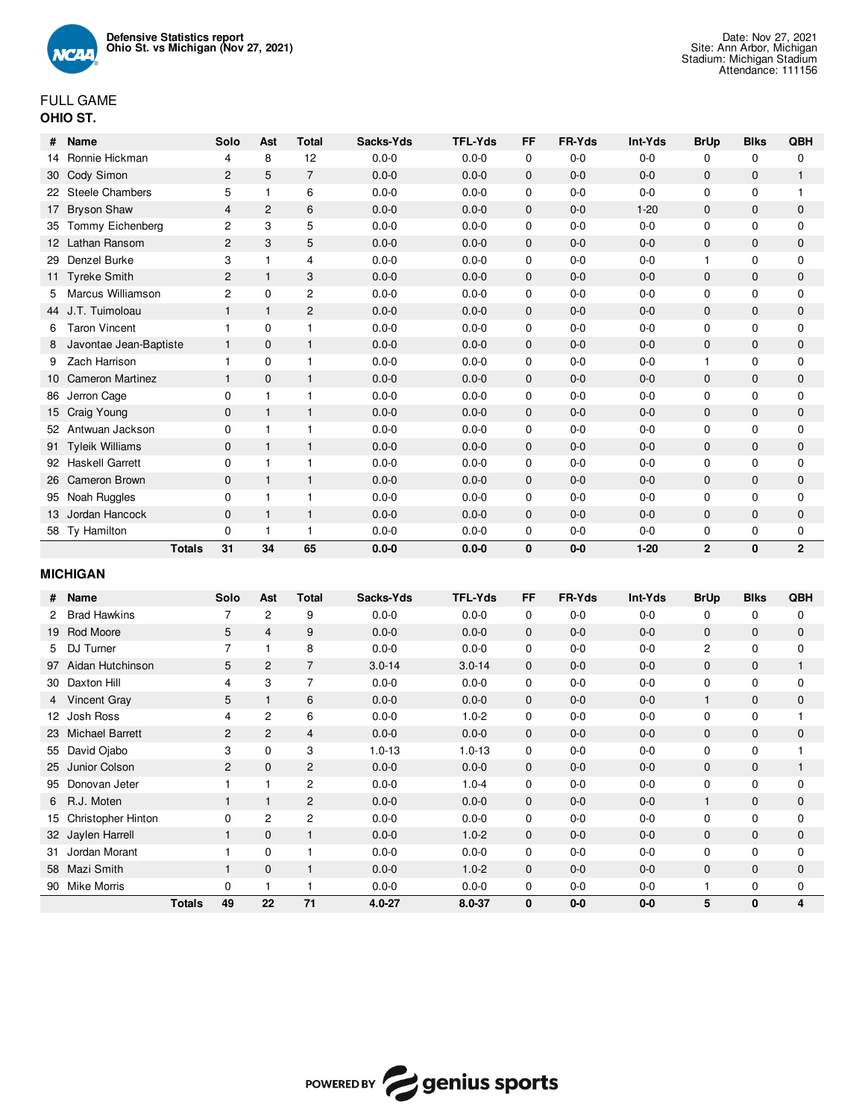

| #  | Name                   | Solo         | Ast            | Total          | Sacks-Yds | TFL-Yds   | FF           | <b>FR-Yds</b> | Int-Yds  | <b>BrUp</b>    | Blks         | QBH            |
|----|------------------------|--------------|----------------|----------------|-----------|-----------|--------------|---------------|----------|----------------|--------------|----------------|
| 14 | Ronnie Hickman         | 4            | 8              | 12             | $0.0 - 0$ | $0.0 - 0$ | $\mathbf 0$  | $0-0$         | $0-0$    | 0              | $\mathbf 0$  | 0              |
|    | 30 Cody Simon          | 2            | 5              | $\overline{7}$ | $0.0 - 0$ | $0.0 - 0$ | $\mathbf 0$  | $0 - 0$       | $0-0$    | $\mathbf{0}$   | $\mathbf{0}$ | $\mathbf{1}$   |
|    | 22 Steele Chambers     | 5            |                | 6              | $0.0 - 0$ | $0.0 - 0$ | 0            | $0-0$         | $0-0$    | $\mathbf 0$    | 0            | 1              |
|    | 17 Bryson Shaw         | 4            | $\overline{c}$ | 6              | $0.0 - 0$ | $0.0 - 0$ | $\mathbf 0$  | $0 - 0$       | $1 - 20$ | $\mathbf{0}$   | 0            | $\mathbf{0}$   |
| 35 | Tommy Eichenberg       | 2            | 3              | 5              | $0.0 - 0$ | $0.0 - 0$ | 0            | $0-0$         | $0-0$    | $\mathbf 0$    | 0            | 0              |
|    | 12 Lathan Ransom       | 2            | 3              | 5              | $0.0 - 0$ | $0.0 - 0$ | $\mathbf 0$  | $0 - 0$       | $0 - 0$  | $\mathbf{0}$   | $\mathbf{0}$ | $\mathbf 0$    |
| 29 | Denzel Burke           | 3            |                | 4              | $0.0 - 0$ | $0.0 - 0$ | $\mathbf 0$  | $0 - 0$       | $0 - 0$  |                | $\mathbf 0$  | $\mathbf 0$    |
|    | 11 Tyreke Smith        | 2            | $\mathbf{1}$   | 3              | $0.0 - 0$ | $0.0 - 0$ | $\mathbf 0$  | $0 - 0$       | $0 - 0$  | $\mathbf 0$    | $\mathbf 0$  | $\mathbf 0$    |
| 5. | Marcus Williamson      | 2            | $\Omega$       | $\overline{c}$ | $0.0 - 0$ | $0.0 - 0$ | $\mathbf 0$  | $0 - 0$       | $0 - 0$  | 0              | $\mathbf 0$  | 0              |
|    | 44 J.T. Tuimoloau      | 1            | $\mathbf{1}$   | $\overline{c}$ | $0.0 - 0$ | $0.0 - 0$ | $\mathbf 0$  | $0 - 0$       | $0-0$    | 0              | $\mathbf 0$  | $\mathbf{0}$   |
| 6  | <b>Taron Vincent</b>   | 1            | $\Omega$       | 1              | $0.0 - 0$ | $0.0 - 0$ | $\mathbf 0$  | $0 - 0$       | $0 - 0$  | $\mathbf 0$    | 0            | $\mathbf 0$    |
| 8  | Javontae Jean-Baptiste | 1            | $\mathbf{0}$   | $\mathbf{1}$   | $0.0 - 0$ | $0.0 - 0$ | $\mathbf{0}$ | $0 - 0$       | $0-0$    | $\mathbf{0}$   | $\mathbf{0}$ | $\mathbf{0}$   |
| 9  | Zach Harrison          | 1            | $\Omega$       | 1              | $0.0 - 0$ | $0.0 - 0$ | 0            | $0-0$         | $0-0$    |                | 0            | $\mathbf 0$    |
|    | 10 Cameron Martinez    | 1            | $\mathbf{0}$   | $\mathbf{1}$   | $0.0 - 0$ | $0.0 - 0$ | $\mathbf 0$  | $0-0$         | $0-0$    | $\mathbf{0}$   | $\mathbf 0$  | $\mathbf{0}$   |
|    | 86 Jerron Cage         | 0            |                | 1              | $0.0 - 0$ | $0.0 - 0$ | 0            | $0-0$         | $0-0$    | 0              | 0            | $\mathbf 0$    |
|    | 15 Craig Young         | $\mathbf{0}$ | $\mathbf{1}$   | $\mathbf{1}$   | $0.0 - 0$ | $0.0 - 0$ | $\mathbf 0$  | $0-0$         | $0-0$    | $\mathbf 0$    | $\mathbf 0$  | $\mathbf 0$    |
|    | 52 Antwuan Jackson     | 0            |                |                | $0.0 - 0$ | $0.0 - 0$ | 0            | $0-0$         | $0 - 0$  | $\mathbf 0$    | $\mathbf 0$  | $\mathbf 0$    |
|    | 91 Tyleik Williams     | $\mathbf{0}$ | $\mathbf{1}$   | 1              | $0.0 - 0$ | $0.0 - 0$ | $\mathbf{0}$ | $0-0$         | $0-0$    | $\mathbf 0$    | $\mathbf 0$  | $\mathbf 0$    |
|    | 92 Haskell Garrett     | 0            |                | 1              | $0.0 - 0$ | $0.0 - 0$ | 0            | $0 - 0$       | $0-0$    | $\mathbf 0$    | $\mathbf 0$  | $\mathbf 0$    |
|    | 26 Cameron Brown       | $\mathbf{0}$ | $\mathbf{1}$   | 1              | $0.0 - 0$ | $0.0 - 0$ | $\mathbf 0$  | $0-0$         | $0-0$    | 0              | $\mathbf 0$  | $\mathbf 0$    |
|    | 95 Noah Ruggles        | $\Omega$     | 1              | 1              | $0.0 - 0$ | $0.0 - 0$ | 0            | $0 - 0$       | $0-0$    | $\mathbf 0$    | 0            | $\mathbf 0$    |
|    | 13 Jordan Hancock      | $\mathbf{0}$ | $\mathbf{1}$   | 1              | $0.0 - 0$ | $0.0 - 0$ | $\mathbf{0}$ | $0 - 0$       | $0-0$    | $\mathbf{0}$   | $\mathbf{0}$ | $\mathbf{0}$   |
|    | 58 Ty Hamilton         | 0            | $\mathbf{1}$   | 1              | $0.0 - 0$ | $0.0 - 0$ | $\mathbf 0$  | $0-0$         | $0-0$    | 0              | 0            | 0              |
|    | <b>Totals</b>          | 31           | 34             | 65             | $0.0 - 0$ | $0.0 - 0$ | 0            | $0-0$         | $1 - 20$ | $\overline{2}$ | $\mathbf{0}$ | $\overline{2}$ |

# **MICHIGAN**

| #  | Name                      |               | Solo           | Ast            | Total          | Sacks-Yds  | <b>TFL-Yds</b> | FF           | <b>FR-Yds</b> | Int-Yds | <b>BrUp</b>    | <b>Blks</b>  | QBH          |
|----|---------------------------|---------------|----------------|----------------|----------------|------------|----------------|--------------|---------------|---------|----------------|--------------|--------------|
|    | <b>Brad Hawkins</b>       |               |                | $\overline{c}$ | 9              | $0.0 - 0$  | $0.0 - 0$      | 0            | $0-0$         | $0-0$   | 0              | 0            | 0            |
| 19 | Rod Moore                 |               | 5              | $\overline{4}$ | 9              | $0.0 - 0$  | $0.0 - 0$      | $\mathbf{0}$ | $0-0$         | $0-0$   | $\mathbf 0$    | $\mathbf{0}$ | $\mathbf 0$  |
| 5. | DJ Turner                 |               | 7              | 1              | 8              | $0.0 - 0$  | $0.0 - 0$      | 0            | $0-0$         | $0-0$   | $\overline{c}$ | 0            | 0            |
| 97 | Aidan Hutchinson          |               | 5              | $\mathbf{2}$   | 7              | $3.0 - 14$ | $3.0 - 14$     | $\mathbf 0$  | $0-0$         | $0-0$   | $\mathbf 0$    | $\mathbf{0}$ | $\mathbf{1}$ |
| 30 | Daxton Hill               |               | 4              | 3              | 7              | $0.0 - 0$  | $0.0 - 0$      | 0            | $0-0$         | $0-0$   | 0              | 0            | 0            |
| 4  | Vincent Gray              |               | 5              | 1              | 6              | $0.0 - 0$  | $0.0 - 0$      | 0            | $0-0$         | $0-0$   | $\mathbf{1}$   | 0            | 0            |
| 12 | Josh Ross                 |               | 4              | $\overline{c}$ | 6              | $0.0 - 0$  | $1.0 - 2$      | 0            | $0-0$         | $0-0$   | 0              | 0            |              |
| 23 | Michael Barrett           |               | $\overline{2}$ | 2              | 4              | $0.0 - 0$  | $0.0 - 0$      | 0            | $0-0$         | $0-0$   | 0              | 0            | 0            |
| 55 | David Ojabo               |               | 3              | 0              | 3              | $1.0 - 13$ | $1.0 - 13$     | 0            | $0-0$         | $0-0$   | 0              | 0            |              |
| 25 | Junior Colson             |               | $\overline{2}$ | $\mathbf 0$    | 2              | $0.0 - 0$  | $0.0 - 0$      | $\mathbf 0$  | $0-0$         | $0-0$   | $\mathbf 0$    | $\mathbf 0$  |              |
| 95 | Donovan Jeter             |               |                |                | $\overline{c}$ | $0.0 - 0$  | $1.0 - 4$      | 0            | $0-0$         | $0-0$   | $\mathbf 0$    | 0            | 0            |
| 6  | R.J. Moten                |               |                | 1              | 2              | $0.0 - 0$  | $0.0 - 0$      | $\mathbf{0}$ | $0-0$         | $0-0$   |                | $\mathbf{0}$ | 0            |
| 15 | <b>Christopher Hinton</b> |               | 0              | $\mathbf{2}$   | $\overline{c}$ | $0.0 - 0$  | $0.0 - 0$      | 0            | $0-0$         | $0-0$   | $\mathbf 0$    | 0            | 0            |
|    | 32 Jaylen Harrell         |               |                | $\mathbf{0}$   | 1              | $0.0 - 0$  | $1.0 - 2$      | $\mathbf{0}$ | $0-0$         | $0-0$   | $\mathbf 0$    | 0            | 0            |
| 31 | Jordan Morant             |               |                | $\mathbf 0$    | 1              | $0.0 - 0$  | $0.0 - 0$      | 0            | $0-0$         | $0-0$   | $\mathbf 0$    | 0            | 0            |
| 58 | Mazi Smith                |               |                | $\mathbf{0}$   | $\mathbf{1}$   | $0.0 - 0$  | $1.0 - 2$      | $\mathbf{0}$ | $0-0$         | $0-0$   | $\mathbf 0$    | 0            | $\mathbf 0$  |
| 90 | Mike Morris               |               | $\mathbf 0$    |                |                | $0.0 - 0$  | $0.0 - 0$      | 0            | 0-0           | $0-0$   |                | 0            | 0            |
|    |                           | <b>Totals</b> | 49             | 22             | 71             | 4.0-27     | 8.0-37         | $\bf{0}$     | $0-0$         | $0-0$   | 5              | 0            | 4            |

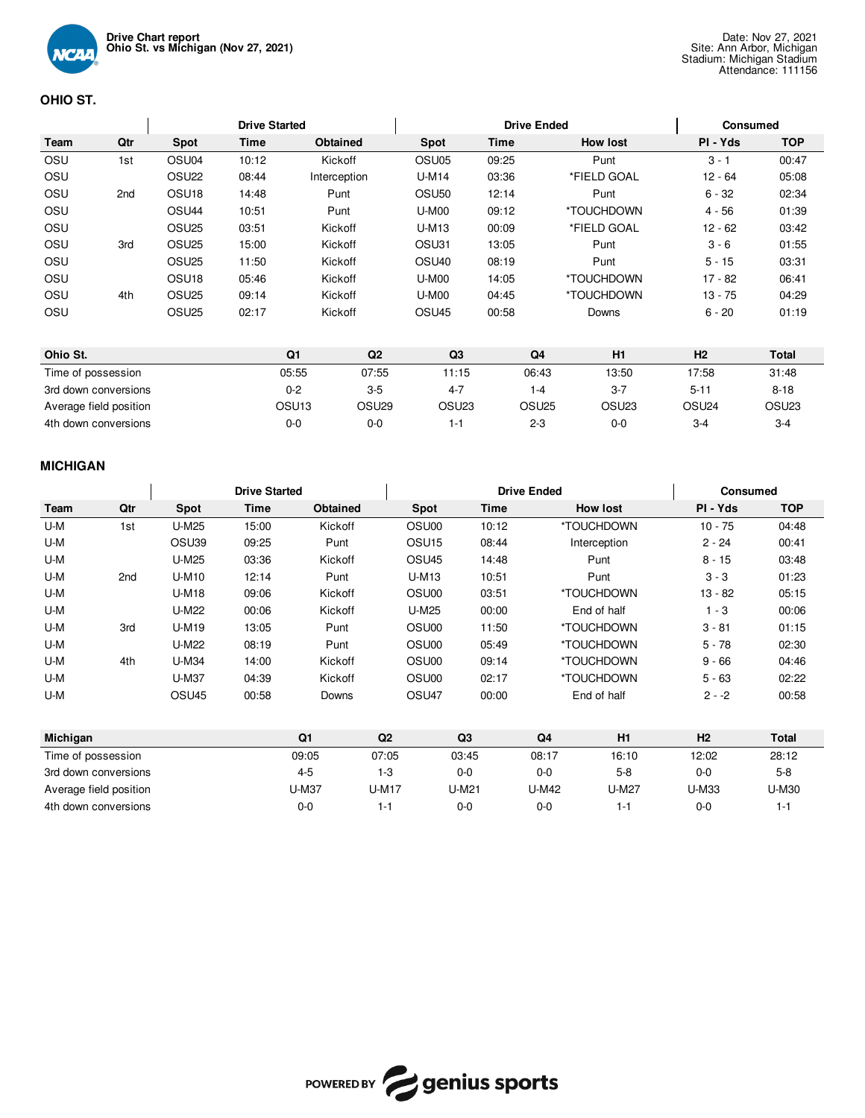

# **OHIO ST.**

|                    |                        |                   | <b>Drive Started</b> |                   |                   |                   |       | <b>Drive Ended</b> |                   |                   | <b>Consumed</b> |                   |
|--------------------|------------------------|-------------------|----------------------|-------------------|-------------------|-------------------|-------|--------------------|-------------------|-------------------|-----------------|-------------------|
| Team               | Qtr                    | Spot              | Time                 | Obtained          |                   | Spot              | Time  |                    | <b>How lost</b>   | PI - Yds          |                 | <b>TOP</b>        |
| OSU                | 1st                    | OSU <sub>04</sub> | 10:12                | Kickoff           |                   | OSU <sub>05</sub> | 09:25 |                    | Punt              | $3 - 1$           |                 | 00:47             |
| OSU                |                        | OSU <sub>22</sub> | 08:44                | Interception      |                   | U-M14             | 03:36 |                    | *FIELD GOAL       | $12 - 64$         |                 | 05:08             |
| OSU                | 2 <sub>nd</sub>        | OSU <sub>18</sub> | 14:48                | Punt              |                   | OSU <sub>50</sub> | 12:14 |                    | Punt              | $6 - 32$          |                 | 02:34             |
| OSU                |                        | OSU <sub>44</sub> | 10:51                | Punt              |                   | <b>U-M00</b>      | 09:12 |                    | *TOUCHDOWN        | $4 - 56$          |                 | 01:39             |
| OSU                |                        | OSU <sub>25</sub> | 03:51                | Kickoff           |                   | $U-M13$           | 00:09 |                    | *FIELD GOAL       | $12 - 62$         |                 | 03:42             |
| OSU                | 3rd                    | OSU <sub>25</sub> | 15:00                | Kickoff           |                   | OSU31             | 13:05 |                    | Punt              | $3 - 6$           |                 | 01:55             |
| OSU                |                        | OSU <sub>25</sub> | 11:50                | Kickoff           |                   | OSU <sub>40</sub> | 08:19 |                    | Punt              | $5 - 15$          |                 | 03:31             |
| OSU                |                        | OSU <sub>18</sub> | 05:46                | Kickoff           |                   | <b>U-M00</b>      | 14:05 |                    | *TOUCHDOWN        | $17 - 82$         |                 | 06:41             |
| OSU                | 4th                    | OSU <sub>25</sub> | 09:14                | Kickoff           |                   | <b>U-M00</b>      | 04:45 |                    | *TOUCHDOWN        | $13 - 75$         |                 | 04:29             |
| OSU                |                        | OSU <sub>25</sub> | 02:17                | Kickoff           |                   | OSU <sub>45</sub> | 00:58 |                    | Downs             | $6 - 20$          |                 | 01:19             |
|                    |                        |                   |                      |                   |                   |                   |       |                    |                   |                   |                 |                   |
| Ohio St.           |                        |                   |                      | Q <sub>1</sub>    | Q2                | Q <sub>3</sub>    |       | Q <sub>4</sub>     | H1                | H <sub>2</sub>    |                 | Total             |
| Time of possession |                        |                   |                      | 05:55             | 07:55             | 11:15             |       | 06:43              | 13:50             | 17:58             |                 | 31:48             |
|                    | 3rd down conversions   |                   |                      | $0 - 2$           | $3-5$             | $4 - 7$           |       | $1 - 4$            | $3 - 7$           | $5 - 11$          |                 | $8 - 18$          |
|                    | Average field position |                   |                      | OSU <sub>13</sub> | OSU <sub>29</sub> | OSU <sub>23</sub> |       | OSU <sub>25</sub>  | OSU <sub>23</sub> | OSU <sub>24</sub> |                 | OSU <sub>23</sub> |
|                    | 4th down conversions   |                   |                      | $0 - 0$           | $0 - 0$           | $1 - 1$           |       | $2 - 3$            | $0 - 0$           | $3-4$             |                 | $3 - 4$           |

# **MICHIGAN**

|      |     |                   | <b>Drive Started</b> |          |                   | <b>Drive Ended</b> | Consumed        |           |            |
|------|-----|-------------------|----------------------|----------|-------------------|--------------------|-----------------|-----------|------------|
| Team | Qtr | <b>Spot</b>       | Time                 | Obtained | Spot              | Time               | <b>How lost</b> | PI - Yds  | <b>TOP</b> |
| U-M  | 1st | U-M25             | 15:00                | Kickoff  | OSU00             | 10:12              | *TOUCHDOWN      | $10 - 75$ | 04:48      |
| U-M  |     | OSU39             | 09:25                | Punt     | OSU <sub>15</sub> | 08:44              | Interception    | $2 - 24$  | 00:41      |
| U-M  |     | <b>U-M25</b>      | 03:36                | Kickoff  | OSU <sub>45</sub> | 14:48              | Punt            | $8 - 15$  | 03:48      |
| U-M  | 2nd | U-M10             | 12:14                | Punt     | U-M13             | 10:51              | Punt            | $3 - 3$   | 01:23      |
| U-M  |     | <b>U-M18</b>      | 09:06                | Kickoff  | OSU00             | 03:51              | *TOUCHDOWN      | $13 - 82$ | 05:15      |
| U-M  |     | <b>U-M22</b>      | 00:06                | Kickoff  | U-M25             | 00:00              | End of half     | $1 - 3$   | 00:06      |
| U-M  | 3rd | U-M19             | 13:05                | Punt     | OSU00             | 11:50              | *TOUCHDOWN      | $3 - 81$  | 01:15      |
| U-M  |     | <b>U-M22</b>      | 08:19                | Punt     | OSU00             | 05:49              | *TOUCHDOWN      | $5 - 78$  | 02:30      |
| U-M  | 4th | U-M34             | 14:00                | Kickoff  | OSU00             | 09:14              | *TOUCHDOWN      | $9 - 66$  | 04:46      |
| U-M  |     | U-M37             | 04:39                | Kickoff  | OSU00             | 02:17              | *TOUCHDOWN      | $5 - 63$  | 02:22      |
| U-M  |     | OSU <sub>45</sub> | 00:58                | Downs    | OSU <sub>47</sub> | 00:00              | End of half     | $2 - -2$  | 00:58      |
|      |     |                   |                      |          |                   |                    |                 |           |            |

| Michigan               | Q1      | Q2    | Q <sub>3</sub> | Q4           | H1    | H <sub>2</sub> | <b>Total</b> |
|------------------------|---------|-------|----------------|--------------|-------|----------------|--------------|
| Time of possession     | 09:05   | 07:05 | 03:45          | 08:17        | 16:10 | 12:02          | 28:12        |
| 3rd down conversions   | $4 - 5$ | l -3  | $0 - 0$        | 0-0          | $5-8$ | $0 - 0$        | $5-8$        |
| Average field position | U-M37   | U-M17 | U-M21          | <b>J-M42</b> | J-M27 | U-M33          | U-M30        |
| 4th down conversions   | $0 - 0$ |       | $0 - 0$        | 0-0          | ı –   | 0-0            | 1-1          |

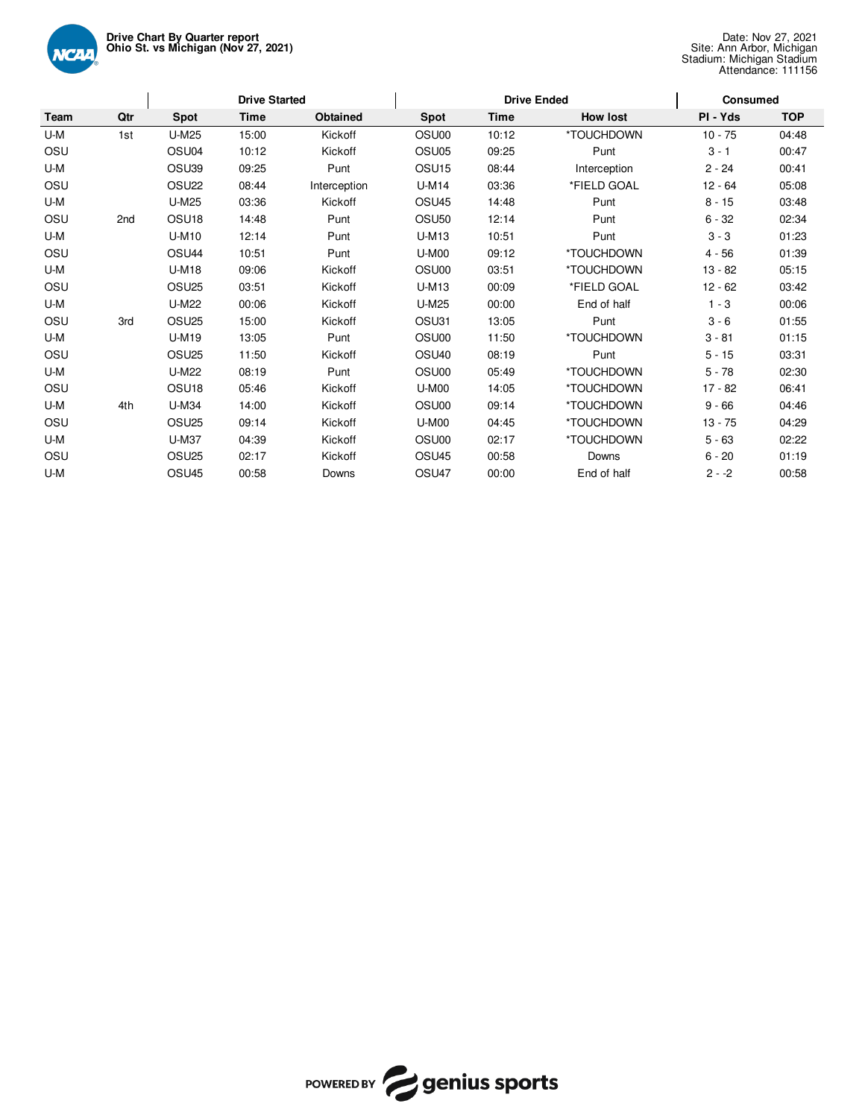

|      | <b>Drive Started</b> |                   |       |              |                   | <b>Drive Ended</b> |                 | <b>Consumed</b> |            |  |  |
|------|----------------------|-------------------|-------|--------------|-------------------|--------------------|-----------------|-----------------|------------|--|--|
| Team | Qtr                  | <b>Spot</b>       | Time  | Obtained     | Spot              | <b>Time</b>        | <b>How lost</b> | PI - Yds        | <b>TOP</b> |  |  |
| U-M  | 1st                  | U-M25             | 15:00 | Kickoff      | OSU00             | 10:12              | *TOUCHDOWN      | $10 - 75$       | 04:48      |  |  |
| OSU  |                      | OSU04             | 10:12 | Kickoff      | OSU <sub>05</sub> | 09:25              | Punt            | $3 - 1$         | 00:47      |  |  |
| U-M  |                      | OSU39             | 09:25 | Punt         | OSU <sub>15</sub> | 08:44              | Interception    | $2 - 24$        | 00:41      |  |  |
| OSU  |                      | OSU <sub>22</sub> | 08:44 | Interception | <b>U-M14</b>      | 03:36              | *FIELD GOAL     | $12 - 64$       | 05:08      |  |  |
| U-M  |                      | U-M25             | 03:36 | Kickoff      | OSU <sub>45</sub> | 14:48              | Punt            | $8 - 15$        | 03:48      |  |  |
| OSU  | 2nd                  | OSU <sub>18</sub> | 14:48 | Punt         | OSU <sub>50</sub> | 12:14              | Punt            | $6 - 32$        | 02:34      |  |  |
| U-M  |                      | U-M10             | 12:14 | Punt         | U-M13             | 10:51              | Punt            | $3 - 3$         | 01:23      |  |  |
| OSU  |                      | OSU <sub>44</sub> | 10:51 | Punt         | <b>U-M00</b>      | 09:12              | *TOUCHDOWN      | $4 - 56$        | 01:39      |  |  |
| U-M  |                      | <b>U-M18</b>      | 09:06 | Kickoff      | OSU00             | 03:51              | *TOUCHDOWN      | $13 - 82$       | 05:15      |  |  |
| OSU  |                      | OSU <sub>25</sub> | 03:51 | Kickoff      | U-M13             | 00:09              | *FIELD GOAL     | $12 - 62$       | 03:42      |  |  |
| U-M  |                      | U-M22             | 00:06 | Kickoff      | <b>U-M25</b>      | 00:00              | End of half     | $1 - 3$         | 00:06      |  |  |
| OSU  | 3rd                  | OSU <sub>25</sub> | 15:00 | Kickoff      | OSU31             | 13:05              | Punt            | $3 - 6$         | 01:55      |  |  |
| U-M  |                      | U-M19             | 13:05 | Punt         | OSU00             | 11:50              | *TOUCHDOWN      | $3 - 81$        | 01:15      |  |  |
| OSU  |                      | OSU <sub>25</sub> | 11:50 | Kickoff      | OSU <sub>40</sub> | 08:19              | Punt            | $5 - 15$        | 03:31      |  |  |
| U-M  |                      | U-M22             | 08:19 | Punt         | OSU00             | 05:49              | *TOUCHDOWN      | $5 - 78$        | 02:30      |  |  |
| OSU  |                      | OSU <sub>18</sub> | 05:46 | Kickoff      | <b>U-M00</b>      | 14:05              | *TOUCHDOWN      | $17 - 82$       | 06:41      |  |  |
| U-M  | 4th                  | <b>U-M34</b>      | 14:00 | Kickoff      | OSU00             | 09:14              | *TOUCHDOWN      | $9 - 66$        | 04:46      |  |  |
| OSU  |                      | OSU <sub>25</sub> | 09:14 | Kickoff      | <b>U-M00</b>      | 04:45              | *TOUCHDOWN      | $13 - 75$       | 04:29      |  |  |
| U-M  |                      | U-M37             | 04:39 | Kickoff      | OSU00             | 02:17              | *TOUCHDOWN      | $5 - 63$        | 02:22      |  |  |
| OSU  |                      | OSU <sub>25</sub> | 02:17 | Kickoff      | OSU <sub>45</sub> | 00:58              | Downs           | $6 - 20$        | 01:19      |  |  |
| U-M  |                      | OSU <sub>45</sub> | 00:58 | Downs        | OSU47             | 00:00              | End of half     | $2 - 2$         | 00:58      |  |  |

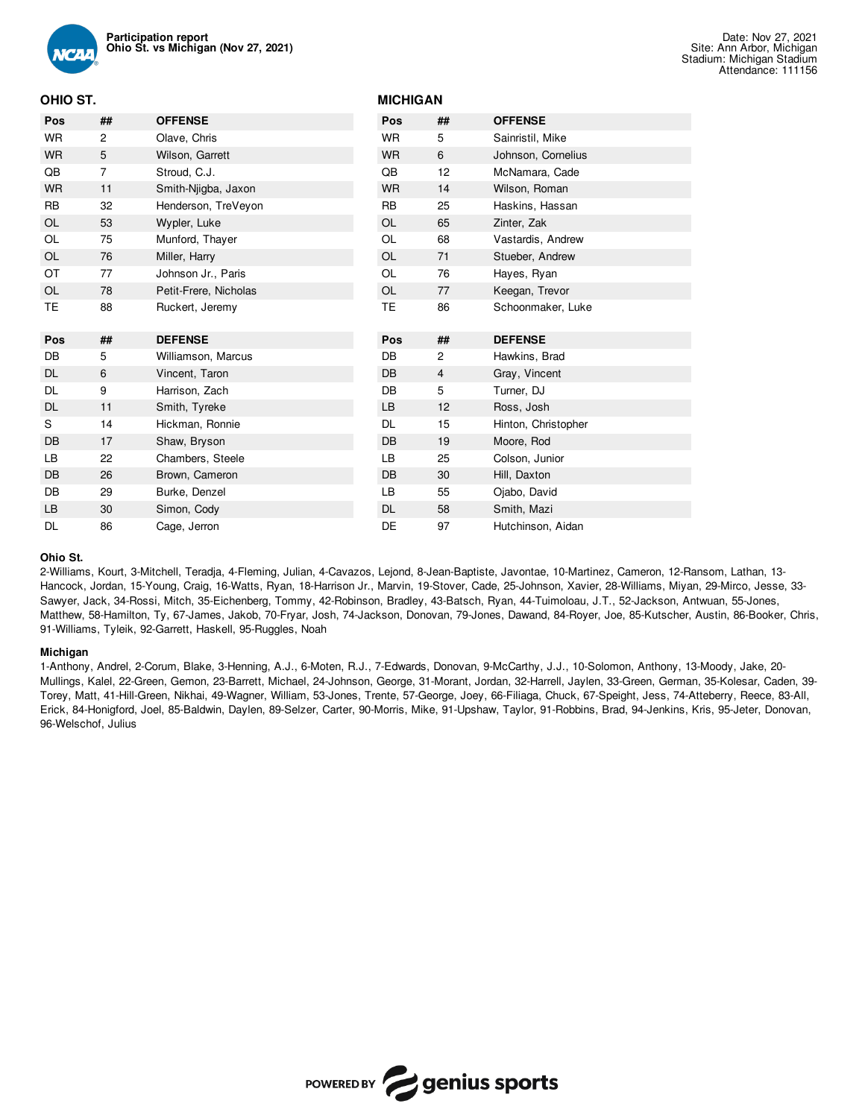

## **OHIO ST.**

| Pos       | ##             | <b>OFFENSE</b>        | Pos       | ##             | <b>OFFENSE</b>      |
|-----------|----------------|-----------------------|-----------|----------------|---------------------|
| WR        | 2              | Olave, Chris          | <b>WR</b> | 5              | Sainristil, Mike    |
| <b>WR</b> | 5              | Wilson, Garrett       | <b>WR</b> | 6              | Johnson, Cornelius  |
| QB        | $\overline{7}$ | Stroud, C.J.          | QB        | 12             | McNamara, Cade      |
| <b>WR</b> | 11             | Smith-Njigba, Jaxon   | <b>WR</b> | 14             | Wilson, Roman       |
| <b>RB</b> | 32             | Henderson, TreVeyon   | <b>RB</b> | 25             | Haskins, Hassan     |
| OL        | 53             | Wypler, Luke          | OL        | 65             | Zinter, Zak         |
| OL        | 75             | Munford, Thayer       | OL        | 68             | Vastardis, Andrew   |
| OL        | 76             | Miller, Harry         | OL        | 71             | Stueber, Andrew     |
| ОT        | 77             | Johnson Jr., Paris    | <b>OL</b> | 76             | Hayes, Ryan         |
| OL        | 78             | Petit-Frere, Nicholas | OL        | 77             | Keegan, Trevor      |
| TE        | 88             | Ruckert, Jeremy       | TE        | 86             | Schoonmaker, Luke   |
|           |                |                       |           |                |                     |
| Pos       | ##             | <b>DEFENSE</b>        | Pos       | ##             | <b>DEFENSE</b>      |
| DB        | 5              | Williamson, Marcus    | DB        | $\mathbf{2}$   | Hawkins, Brad       |
| DL        | 6              | Vincent, Taron        | DB        | $\overline{4}$ | Gray, Vincent       |
| DL        | 9              | Harrison, Zach        | DB        | 5              | Turner, DJ          |
| <b>DL</b> | 11             | Smith, Tyreke         | <b>LB</b> | 12             | Ross, Josh          |
| S         | 14             | Hickman, Ronnie       | <b>DL</b> | 15             | Hinton, Christopher |
| DB        | 17             | Shaw, Bryson          | <b>DB</b> | 19             | Moore, Rod          |
| LВ        | 22             | Chambers, Steele      | LB        | 25             | Colson, Junior      |
| DB        | 26             | Brown, Cameron        | <b>DB</b> | 30             | Hill, Daxton        |
| DB        | 29             | Burke, Denzel         | LB        | 55             | Ojabo, David        |
| LB        | 30             | Simon, Cody           | <b>DL</b> | 58             | Smith, Mazi         |

**MICHIGAN**

### **Ohio St.**

2-Williams, Kourt, 3-Mitchell, Teradja, 4-Fleming, Julian, 4-Cavazos, Lejond, 8-Jean-Baptiste, Javontae, 10-Martinez, Cameron, 12-Ransom, Lathan, 13- Hancock, Jordan, 15-Young, Craig, 16-Watts, Ryan, 18-Harrison Jr., Marvin, 19-Stover, Cade, 25-Johnson, Xavier, 28-Williams, Miyan, 29-Mirco, Jesse, 33- Sawyer, Jack, 34-Rossi, Mitch, 35-Eichenberg, Tommy, 42-Robinson, Bradley, 43-Batsch, Ryan, 44-Tuimoloau, J.T., 52-Jackson, Antwuan, 55-Jones, Matthew, 58-Hamilton, Ty, 67-James, Jakob, 70-Fryar, Josh, 74-Jackson, Donovan, 79-Jones, Dawand, 84-Royer, Joe, 85-Kutscher, Austin, 86-Booker, Chris, 91-Williams, Tyleik, 92-Garrett, Haskell, 95-Ruggles, Noah

#### **Michigan**

1-Anthony, Andrel, 2-Corum, Blake, 3-Henning, A.J., 6-Moten, R.J., 7-Edwards, Donovan, 9-McCarthy, J.J., 10-Solomon, Anthony, 13-Moody, Jake, 20- Mullings, Kalel, 22-Green, Gemon, 23-Barrett, Michael, 24-Johnson, George, 31-Morant, Jordan, 32-Harrell, Jaylen, 33-Green, German, 35-Kolesar, Caden, 39- Torey, Matt, 41-Hill-Green, Nikhai, 49-Wagner, William, 53-Jones, Trente, 57-George, Joey, 66-Filiaga, Chuck, 67-Speight, Jess, 74-Atteberry, Reece, 83-All, Erick, 84-Honigford, Joel, 85-Baldwin, Daylen, 89-Selzer, Carter, 90-Morris, Mike, 91-Upshaw, Taylor, 91-Robbins, Brad, 94-Jenkins, Kris, 95-Jeter, Donovan, 96-Welschof, Julius

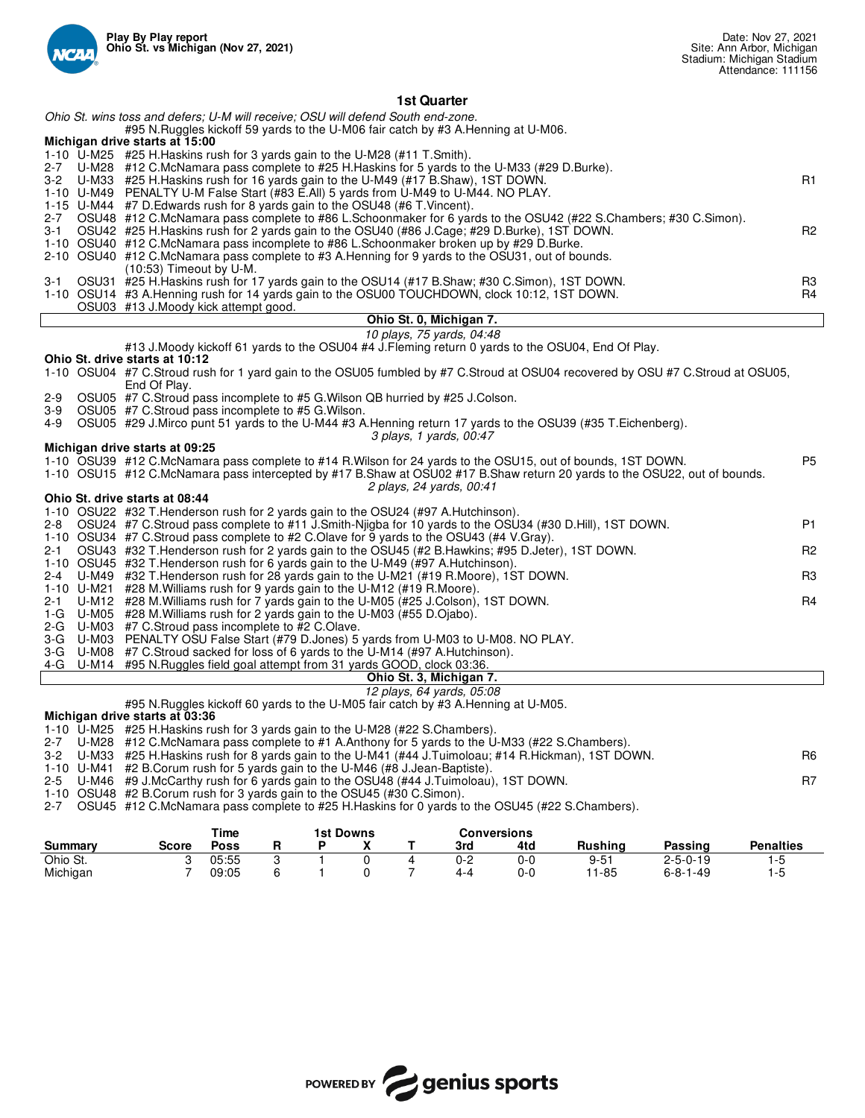

| Ohio St. wins toss and defers: U-M will receive: OSU will defend South end-zone.<br>#95 N.Ruggles kickoff 59 yards to the U-M06 fair catch by #3 A.Henning at U-M06.<br>Michigan drive starts at 15:00<br>1-10 U-M25 #25 H. Haskins rush for 3 yards gain to the U-M28 (#11 T. Smith).<br>U-M28 #12 C.McNamara pass complete to #25 H.Haskins for 5 yards to the U-M33 (#29 D.Burke).<br>2-7<br>U-M33 #25 H.Haskins rush for 16 yards gain to the U-M49 (#17 B.Shaw), 1ST DOWN.<br>R1<br>3-2<br>1-10 U-M49 PENALTY U-M False Start (#83 E.All) 5 yards from U-M49 to U-M44. NO PLAY.<br>1-15 U-M44 #7 D. Edwards rush for 8 yards gain to the OSU48 (#6 T. Vincent).<br>OSU48 #12 C.McNamara pass complete to #86 L.Schoonmaker for 6 yards to the OSU42 (#22 S.Chambers; #30 C.Simon).<br>2-7<br>OSU42 #25 H.Haskins rush for 2 yards gain to the OSU40 (#86 J.Cage; #29 D.Burke), 1ST DOWN.<br>R <sub>2</sub><br>3-1<br>1-10 OSU40 #12 C.McNamara pass incomplete to #86 L.Schoonmaker broken up by #29 D.Burke.<br>2-10 OSU40 #12 C.McNamara pass complete to #3 A.Henning for 9 yards to the OSU31, out of bounds.<br>$(10:53)$ Timeout by U-M.<br>OSU31 #25 H.Haskins rush for 17 yards gain to the OSU14 (#17 B.Shaw; #30 C.Simon), 1ST DOWN.<br>R3<br>3-1<br>1-10 OSU14 #3 A.Henning rush for 14 yards gain to the OSU00 TOUCHDOWN, clock 10:12, 1ST DOWN.<br>R4<br>OSU03 #13 J.Moody kick attempt good.<br>Ohio St. 0, Michigan 7.<br>10 plays, 75 yards, 04:48<br>#13 J.Moody kickoff 61 yards to the OSU04 #4 J.Fleming return 0 yards to the OSU04, End Of Play.<br>Ohio St. drive starts at 10:12<br>1-10 OSU04 #7 C.Stroud rush for 1 yard gain to the OSU05 fumbled by #7 C.Stroud at OSU04 recovered by OSU #7 C.Stroud at OSU05,<br>End Of Play.<br>OSU05 #7 C.Stroud pass incomplete to #5 G. Wilson QB hurried by #25 J.Colson.<br>2-9<br>OSU05 #7 C.Stroud pass incomplete to #5 G.Wilson.<br>3-9<br>OSU05 #29 J.Mirco punt 51 yards to the U-M44 #3 A.Henning return 17 yards to the OSU39 (#35 T.Eichenberg).<br>4-9<br>3 plays, 1 yards, 00:47<br>Michigan drive starts at 09:25<br>1-10 OSU39 #12 C.McNamara pass complete to #14 R.Wilson for 24 yards to the OSU15, out of bounds, 1ST DOWN.<br>P <sub>5</sub><br>1-10 OSU15 #12 C.McNamara pass intercepted by #17 B.Shaw at OSU02 #17 B.Shaw return 20 yards to the OSU22, out of bounds.<br>2 plays, 24 yards, 00:41<br>Ohio St. drive starts at 08:44<br>1-10 OSU22 #32 T. Henderson rush for 2 yards gain to the OSU24 (#97 A. Hutchinson).<br><b>P1</b><br>$2 - 8$<br>OSU24 #7 C.Stroud pass complete to #11 J.Smith-Njigba for 10 yards to the OSU34 (#30 D.Hill), 1ST DOWN.<br>1-10 OSU34 #7 C.Stroud pass complete to #2 C.Olave for 9 yards to the OSU43 (#4 V.Gray).<br>OSU43 #32 T. Henderson rush for 2 yards gain to the OSU45 (#2 B. Hawkins; #95 D. Jeter), 1ST DOWN.<br>2-1<br>R <sub>2</sub><br>1-10 OSU45 #32 T. Henderson rush for 6 yards gain to the U-M49 (#97 A. Hutchinson).<br>2-4<br>U-M49 #32 T. Henderson rush for 28 yards gain to the U-M21 (#19 R. Moore), 1ST DOWN.<br>R3<br>1-10 U-M21 #28 M. Williams rush for 9 yards gain to the U-M12 (#19 R. Moore).<br>U-M12 #28 M. Williams rush for 7 yards gain to the U-M05 (#25 J. Colson), 1ST DOWN.<br>R4<br>2-1<br>1-G U-M05 #28 M. Williams rush for 2 yards gain to the U-M03 (#55 D. Ojabo).<br>2-G U-M03 #7 C.Stroud pass incomplete to #2 C.Olave.<br>3-G U-M03 PENALTY OSU False Start (#79 D.Jones) 5 yards from U-M03 to U-M08. NO PLAY.<br>3-G U-M08 #7 C.Stroud sacked for loss of 6 yards to the U-M14 (#97 A.Hutchinson).<br>Ohio St. 3, Michigan 7.<br>12 plays, 64 yards, 05:08<br>#95 N. Ruggles kickoff 60 yards to the U-M05 fair catch by #3 A. Henning at U-M05.<br>Michigan drive starts at 03:36<br>1-10 U-M25 #25 H. Haskins rush for 3 yards gain to the U-M28 (#22 S. Chambers). | 4-G U-M14 #95 N. Ruggles field goal attempt from 31 yards GOOD, clock 03:36.<br>U-M28 #12 C.McNamara pass complete to #1 A.Anthony for 5 yards to the U-M33 (#22 S.Chambers).<br>$2 - 7$<br>3-2 U-M33 #25 H. Haskins rush for 8 yards gain to the U-M41 (#44 J. Tuimoloau; #14 R. Hickman), 1ST DOWN.<br>R6<br>1-10 U-M41 #2 B.Corum rush for 5 yards gain to the U-M46 (#8 J.Jean-Baptiste). |     |  | 1st Quarter                                                                         |    |  |  |  |  |  |  |  |  |
|-------------------------------------------------------------------------------------------------------------------------------------------------------------------------------------------------------------------------------------------------------------------------------------------------------------------------------------------------------------------------------------------------------------------------------------------------------------------------------------------------------------------------------------------------------------------------------------------------------------------------------------------------------------------------------------------------------------------------------------------------------------------------------------------------------------------------------------------------------------------------------------------------------------------------------------------------------------------------------------------------------------------------------------------------------------------------------------------------------------------------------------------------------------------------------------------------------------------------------------------------------------------------------------------------------------------------------------------------------------------------------------------------------------------------------------------------------------------------------------------------------------------------------------------------------------------------------------------------------------------------------------------------------------------------------------------------------------------------------------------------------------------------------------------------------------------------------------------------------------------------------------------------------------------------------------------------------------------------------------------------------------------------------------------------------------------------------------------------------------------------------------------------------------------------------------------------------------------------------------------------------------------------------------------------------------------------------------------------------------------------------------------------------------------------------------------------------------------------------------------------------------------------------------------------------------------------------------------------------------------------------------------------------------------------------------------------------------------------------------------------------------------------------------------------------------------------------------------------------------------------------------------------------------------------------------------------------------------------------------------------------------------------------------------------------------------------------------------------------------------------------------------------------------------------------------------------------------------------------------------------------------------------------------------------------------------------------------------------------------------------------------------------------------------------------------------------------------------------------------------------------------------------------------------------------------------------------------------------------------------------------------------------------------------------------------------------------------------------------------------------------------------------------------------------------------------------------------------------------------------|-----------------------------------------------------------------------------------------------------------------------------------------------------------------------------------------------------------------------------------------------------------------------------------------------------------------------------------------------------------------------------------------------|-----|--|-------------------------------------------------------------------------------------|----|--|--|--|--|--|--|--|--|
|                                                                                                                                                                                                                                                                                                                                                                                                                                                                                                                                                                                                                                                                                                                                                                                                                                                                                                                                                                                                                                                                                                                                                                                                                                                                                                                                                                                                                                                                                                                                                                                                                                                                                                                                                                                                                                                                                                                                                                                                                                                                                                                                                                                                                                                                                                                                                                                                                                                                                                                                                                                                                                                                                                                                                                                                                                                                                                                                                                                                                                                                                                                                                                                                                                                                                                                                                                                                                                                                                                                                                                                                                                                                                                                                                                                                                                                                   |                                                                                                                                                                                                                                                                                                                                                                                               |     |  |                                                                                     |    |  |  |  |  |  |  |  |  |
|                                                                                                                                                                                                                                                                                                                                                                                                                                                                                                                                                                                                                                                                                                                                                                                                                                                                                                                                                                                                                                                                                                                                                                                                                                                                                                                                                                                                                                                                                                                                                                                                                                                                                                                                                                                                                                                                                                                                                                                                                                                                                                                                                                                                                                                                                                                                                                                                                                                                                                                                                                                                                                                                                                                                                                                                                                                                                                                                                                                                                                                                                                                                                                                                                                                                                                                                                                                                                                                                                                                                                                                                                                                                                                                                                                                                                                                                   |                                                                                                                                                                                                                                                                                                                                                                                               |     |  |                                                                                     |    |  |  |  |  |  |  |  |  |
|                                                                                                                                                                                                                                                                                                                                                                                                                                                                                                                                                                                                                                                                                                                                                                                                                                                                                                                                                                                                                                                                                                                                                                                                                                                                                                                                                                                                                                                                                                                                                                                                                                                                                                                                                                                                                                                                                                                                                                                                                                                                                                                                                                                                                                                                                                                                                                                                                                                                                                                                                                                                                                                                                                                                                                                                                                                                                                                                                                                                                                                                                                                                                                                                                                                                                                                                                                                                                                                                                                                                                                                                                                                                                                                                                                                                                                                                   |                                                                                                                                                                                                                                                                                                                                                                                               |     |  |                                                                                     |    |  |  |  |  |  |  |  |  |
|                                                                                                                                                                                                                                                                                                                                                                                                                                                                                                                                                                                                                                                                                                                                                                                                                                                                                                                                                                                                                                                                                                                                                                                                                                                                                                                                                                                                                                                                                                                                                                                                                                                                                                                                                                                                                                                                                                                                                                                                                                                                                                                                                                                                                                                                                                                                                                                                                                                                                                                                                                                                                                                                                                                                                                                                                                                                                                                                                                                                                                                                                                                                                                                                                                                                                                                                                                                                                                                                                                                                                                                                                                                                                                                                                                                                                                                                   |                                                                                                                                                                                                                                                                                                                                                                                               |     |  |                                                                                     |    |  |  |  |  |  |  |  |  |
|                                                                                                                                                                                                                                                                                                                                                                                                                                                                                                                                                                                                                                                                                                                                                                                                                                                                                                                                                                                                                                                                                                                                                                                                                                                                                                                                                                                                                                                                                                                                                                                                                                                                                                                                                                                                                                                                                                                                                                                                                                                                                                                                                                                                                                                                                                                                                                                                                                                                                                                                                                                                                                                                                                                                                                                                                                                                                                                                                                                                                                                                                                                                                                                                                                                                                                                                                                                                                                                                                                                                                                                                                                                                                                                                                                                                                                                                   |                                                                                                                                                                                                                                                                                                                                                                                               |     |  |                                                                                     |    |  |  |  |  |  |  |  |  |
|                                                                                                                                                                                                                                                                                                                                                                                                                                                                                                                                                                                                                                                                                                                                                                                                                                                                                                                                                                                                                                                                                                                                                                                                                                                                                                                                                                                                                                                                                                                                                                                                                                                                                                                                                                                                                                                                                                                                                                                                                                                                                                                                                                                                                                                                                                                                                                                                                                                                                                                                                                                                                                                                                                                                                                                                                                                                                                                                                                                                                                                                                                                                                                                                                                                                                                                                                                                                                                                                                                                                                                                                                                                                                                                                                                                                                                                                   |                                                                                                                                                                                                                                                                                                                                                                                               |     |  |                                                                                     |    |  |  |  |  |  |  |  |  |
|                                                                                                                                                                                                                                                                                                                                                                                                                                                                                                                                                                                                                                                                                                                                                                                                                                                                                                                                                                                                                                                                                                                                                                                                                                                                                                                                                                                                                                                                                                                                                                                                                                                                                                                                                                                                                                                                                                                                                                                                                                                                                                                                                                                                                                                                                                                                                                                                                                                                                                                                                                                                                                                                                                                                                                                                                                                                                                                                                                                                                                                                                                                                                                                                                                                                                                                                                                                                                                                                                                                                                                                                                                                                                                                                                                                                                                                                   |                                                                                                                                                                                                                                                                                                                                                                                               |     |  |                                                                                     |    |  |  |  |  |  |  |  |  |
|                                                                                                                                                                                                                                                                                                                                                                                                                                                                                                                                                                                                                                                                                                                                                                                                                                                                                                                                                                                                                                                                                                                                                                                                                                                                                                                                                                                                                                                                                                                                                                                                                                                                                                                                                                                                                                                                                                                                                                                                                                                                                                                                                                                                                                                                                                                                                                                                                                                                                                                                                                                                                                                                                                                                                                                                                                                                                                                                                                                                                                                                                                                                                                                                                                                                                                                                                                                                                                                                                                                                                                                                                                                                                                                                                                                                                                                                   |                                                                                                                                                                                                                                                                                                                                                                                               |     |  |                                                                                     |    |  |  |  |  |  |  |  |  |
|                                                                                                                                                                                                                                                                                                                                                                                                                                                                                                                                                                                                                                                                                                                                                                                                                                                                                                                                                                                                                                                                                                                                                                                                                                                                                                                                                                                                                                                                                                                                                                                                                                                                                                                                                                                                                                                                                                                                                                                                                                                                                                                                                                                                                                                                                                                                                                                                                                                                                                                                                                                                                                                                                                                                                                                                                                                                                                                                                                                                                                                                                                                                                                                                                                                                                                                                                                                                                                                                                                                                                                                                                                                                                                                                                                                                                                                                   |                                                                                                                                                                                                                                                                                                                                                                                               |     |  |                                                                                     |    |  |  |  |  |  |  |  |  |
|                                                                                                                                                                                                                                                                                                                                                                                                                                                                                                                                                                                                                                                                                                                                                                                                                                                                                                                                                                                                                                                                                                                                                                                                                                                                                                                                                                                                                                                                                                                                                                                                                                                                                                                                                                                                                                                                                                                                                                                                                                                                                                                                                                                                                                                                                                                                                                                                                                                                                                                                                                                                                                                                                                                                                                                                                                                                                                                                                                                                                                                                                                                                                                                                                                                                                                                                                                                                                                                                                                                                                                                                                                                                                                                                                                                                                                                                   |                                                                                                                                                                                                                                                                                                                                                                                               |     |  |                                                                                     |    |  |  |  |  |  |  |  |  |
|                                                                                                                                                                                                                                                                                                                                                                                                                                                                                                                                                                                                                                                                                                                                                                                                                                                                                                                                                                                                                                                                                                                                                                                                                                                                                                                                                                                                                                                                                                                                                                                                                                                                                                                                                                                                                                                                                                                                                                                                                                                                                                                                                                                                                                                                                                                                                                                                                                                                                                                                                                                                                                                                                                                                                                                                                                                                                                                                                                                                                                                                                                                                                                                                                                                                                                                                                                                                                                                                                                                                                                                                                                                                                                                                                                                                                                                                   |                                                                                                                                                                                                                                                                                                                                                                                               |     |  |                                                                                     |    |  |  |  |  |  |  |  |  |
|                                                                                                                                                                                                                                                                                                                                                                                                                                                                                                                                                                                                                                                                                                                                                                                                                                                                                                                                                                                                                                                                                                                                                                                                                                                                                                                                                                                                                                                                                                                                                                                                                                                                                                                                                                                                                                                                                                                                                                                                                                                                                                                                                                                                                                                                                                                                                                                                                                                                                                                                                                                                                                                                                                                                                                                                                                                                                                                                                                                                                                                                                                                                                                                                                                                                                                                                                                                                                                                                                                                                                                                                                                                                                                                                                                                                                                                                   |                                                                                                                                                                                                                                                                                                                                                                                               |     |  |                                                                                     |    |  |  |  |  |  |  |  |  |
|                                                                                                                                                                                                                                                                                                                                                                                                                                                                                                                                                                                                                                                                                                                                                                                                                                                                                                                                                                                                                                                                                                                                                                                                                                                                                                                                                                                                                                                                                                                                                                                                                                                                                                                                                                                                                                                                                                                                                                                                                                                                                                                                                                                                                                                                                                                                                                                                                                                                                                                                                                                                                                                                                                                                                                                                                                                                                                                                                                                                                                                                                                                                                                                                                                                                                                                                                                                                                                                                                                                                                                                                                                                                                                                                                                                                                                                                   |                                                                                                                                                                                                                                                                                                                                                                                               |     |  |                                                                                     |    |  |  |  |  |  |  |  |  |
|                                                                                                                                                                                                                                                                                                                                                                                                                                                                                                                                                                                                                                                                                                                                                                                                                                                                                                                                                                                                                                                                                                                                                                                                                                                                                                                                                                                                                                                                                                                                                                                                                                                                                                                                                                                                                                                                                                                                                                                                                                                                                                                                                                                                                                                                                                                                                                                                                                                                                                                                                                                                                                                                                                                                                                                                                                                                                                                                                                                                                                                                                                                                                                                                                                                                                                                                                                                                                                                                                                                                                                                                                                                                                                                                                                                                                                                                   |                                                                                                                                                                                                                                                                                                                                                                                               |     |  |                                                                                     |    |  |  |  |  |  |  |  |  |
|                                                                                                                                                                                                                                                                                                                                                                                                                                                                                                                                                                                                                                                                                                                                                                                                                                                                                                                                                                                                                                                                                                                                                                                                                                                                                                                                                                                                                                                                                                                                                                                                                                                                                                                                                                                                                                                                                                                                                                                                                                                                                                                                                                                                                                                                                                                                                                                                                                                                                                                                                                                                                                                                                                                                                                                                                                                                                                                                                                                                                                                                                                                                                                                                                                                                                                                                                                                                                                                                                                                                                                                                                                                                                                                                                                                                                                                                   |                                                                                                                                                                                                                                                                                                                                                                                               |     |  |                                                                                     |    |  |  |  |  |  |  |  |  |
|                                                                                                                                                                                                                                                                                                                                                                                                                                                                                                                                                                                                                                                                                                                                                                                                                                                                                                                                                                                                                                                                                                                                                                                                                                                                                                                                                                                                                                                                                                                                                                                                                                                                                                                                                                                                                                                                                                                                                                                                                                                                                                                                                                                                                                                                                                                                                                                                                                                                                                                                                                                                                                                                                                                                                                                                                                                                                                                                                                                                                                                                                                                                                                                                                                                                                                                                                                                                                                                                                                                                                                                                                                                                                                                                                                                                                                                                   |                                                                                                                                                                                                                                                                                                                                                                                               |     |  |                                                                                     |    |  |  |  |  |  |  |  |  |
|                                                                                                                                                                                                                                                                                                                                                                                                                                                                                                                                                                                                                                                                                                                                                                                                                                                                                                                                                                                                                                                                                                                                                                                                                                                                                                                                                                                                                                                                                                                                                                                                                                                                                                                                                                                                                                                                                                                                                                                                                                                                                                                                                                                                                                                                                                                                                                                                                                                                                                                                                                                                                                                                                                                                                                                                                                                                                                                                                                                                                                                                                                                                                                                                                                                                                                                                                                                                                                                                                                                                                                                                                                                                                                                                                                                                                                                                   |                                                                                                                                                                                                                                                                                                                                                                                               |     |  |                                                                                     |    |  |  |  |  |  |  |  |  |
|                                                                                                                                                                                                                                                                                                                                                                                                                                                                                                                                                                                                                                                                                                                                                                                                                                                                                                                                                                                                                                                                                                                                                                                                                                                                                                                                                                                                                                                                                                                                                                                                                                                                                                                                                                                                                                                                                                                                                                                                                                                                                                                                                                                                                                                                                                                                                                                                                                                                                                                                                                                                                                                                                                                                                                                                                                                                                                                                                                                                                                                                                                                                                                                                                                                                                                                                                                                                                                                                                                                                                                                                                                                                                                                                                                                                                                                                   |                                                                                                                                                                                                                                                                                                                                                                                               |     |  |                                                                                     |    |  |  |  |  |  |  |  |  |
|                                                                                                                                                                                                                                                                                                                                                                                                                                                                                                                                                                                                                                                                                                                                                                                                                                                                                                                                                                                                                                                                                                                                                                                                                                                                                                                                                                                                                                                                                                                                                                                                                                                                                                                                                                                                                                                                                                                                                                                                                                                                                                                                                                                                                                                                                                                                                                                                                                                                                                                                                                                                                                                                                                                                                                                                                                                                                                                                                                                                                                                                                                                                                                                                                                                                                                                                                                                                                                                                                                                                                                                                                                                                                                                                                                                                                                                                   |                                                                                                                                                                                                                                                                                                                                                                                               |     |  |                                                                                     |    |  |  |  |  |  |  |  |  |
|                                                                                                                                                                                                                                                                                                                                                                                                                                                                                                                                                                                                                                                                                                                                                                                                                                                                                                                                                                                                                                                                                                                                                                                                                                                                                                                                                                                                                                                                                                                                                                                                                                                                                                                                                                                                                                                                                                                                                                                                                                                                                                                                                                                                                                                                                                                                                                                                                                                                                                                                                                                                                                                                                                                                                                                                                                                                                                                                                                                                                                                                                                                                                                                                                                                                                                                                                                                                                                                                                                                                                                                                                                                                                                                                                                                                                                                                   |                                                                                                                                                                                                                                                                                                                                                                                               |     |  |                                                                                     |    |  |  |  |  |  |  |  |  |
|                                                                                                                                                                                                                                                                                                                                                                                                                                                                                                                                                                                                                                                                                                                                                                                                                                                                                                                                                                                                                                                                                                                                                                                                                                                                                                                                                                                                                                                                                                                                                                                                                                                                                                                                                                                                                                                                                                                                                                                                                                                                                                                                                                                                                                                                                                                                                                                                                                                                                                                                                                                                                                                                                                                                                                                                                                                                                                                                                                                                                                                                                                                                                                                                                                                                                                                                                                                                                                                                                                                                                                                                                                                                                                                                                                                                                                                                   |                                                                                                                                                                                                                                                                                                                                                                                               |     |  |                                                                                     |    |  |  |  |  |  |  |  |  |
|                                                                                                                                                                                                                                                                                                                                                                                                                                                                                                                                                                                                                                                                                                                                                                                                                                                                                                                                                                                                                                                                                                                                                                                                                                                                                                                                                                                                                                                                                                                                                                                                                                                                                                                                                                                                                                                                                                                                                                                                                                                                                                                                                                                                                                                                                                                                                                                                                                                                                                                                                                                                                                                                                                                                                                                                                                                                                                                                                                                                                                                                                                                                                                                                                                                                                                                                                                                                                                                                                                                                                                                                                                                                                                                                                                                                                                                                   |                                                                                                                                                                                                                                                                                                                                                                                               |     |  |                                                                                     |    |  |  |  |  |  |  |  |  |
|                                                                                                                                                                                                                                                                                                                                                                                                                                                                                                                                                                                                                                                                                                                                                                                                                                                                                                                                                                                                                                                                                                                                                                                                                                                                                                                                                                                                                                                                                                                                                                                                                                                                                                                                                                                                                                                                                                                                                                                                                                                                                                                                                                                                                                                                                                                                                                                                                                                                                                                                                                                                                                                                                                                                                                                                                                                                                                                                                                                                                                                                                                                                                                                                                                                                                                                                                                                                                                                                                                                                                                                                                                                                                                                                                                                                                                                                   |                                                                                                                                                                                                                                                                                                                                                                                               |     |  |                                                                                     |    |  |  |  |  |  |  |  |  |
|                                                                                                                                                                                                                                                                                                                                                                                                                                                                                                                                                                                                                                                                                                                                                                                                                                                                                                                                                                                                                                                                                                                                                                                                                                                                                                                                                                                                                                                                                                                                                                                                                                                                                                                                                                                                                                                                                                                                                                                                                                                                                                                                                                                                                                                                                                                                                                                                                                                                                                                                                                                                                                                                                                                                                                                                                                                                                                                                                                                                                                                                                                                                                                                                                                                                                                                                                                                                                                                                                                                                                                                                                                                                                                                                                                                                                                                                   |                                                                                                                                                                                                                                                                                                                                                                                               |     |  |                                                                                     |    |  |  |  |  |  |  |  |  |
|                                                                                                                                                                                                                                                                                                                                                                                                                                                                                                                                                                                                                                                                                                                                                                                                                                                                                                                                                                                                                                                                                                                                                                                                                                                                                                                                                                                                                                                                                                                                                                                                                                                                                                                                                                                                                                                                                                                                                                                                                                                                                                                                                                                                                                                                                                                                                                                                                                                                                                                                                                                                                                                                                                                                                                                                                                                                                                                                                                                                                                                                                                                                                                                                                                                                                                                                                                                                                                                                                                                                                                                                                                                                                                                                                                                                                                                                   |                                                                                                                                                                                                                                                                                                                                                                                               |     |  |                                                                                     |    |  |  |  |  |  |  |  |  |
|                                                                                                                                                                                                                                                                                                                                                                                                                                                                                                                                                                                                                                                                                                                                                                                                                                                                                                                                                                                                                                                                                                                                                                                                                                                                                                                                                                                                                                                                                                                                                                                                                                                                                                                                                                                                                                                                                                                                                                                                                                                                                                                                                                                                                                                                                                                                                                                                                                                                                                                                                                                                                                                                                                                                                                                                                                                                                                                                                                                                                                                                                                                                                                                                                                                                                                                                                                                                                                                                                                                                                                                                                                                                                                                                                                                                                                                                   |                                                                                                                                                                                                                                                                                                                                                                                               |     |  |                                                                                     |    |  |  |  |  |  |  |  |  |
|                                                                                                                                                                                                                                                                                                                                                                                                                                                                                                                                                                                                                                                                                                                                                                                                                                                                                                                                                                                                                                                                                                                                                                                                                                                                                                                                                                                                                                                                                                                                                                                                                                                                                                                                                                                                                                                                                                                                                                                                                                                                                                                                                                                                                                                                                                                                                                                                                                                                                                                                                                                                                                                                                                                                                                                                                                                                                                                                                                                                                                                                                                                                                                                                                                                                                                                                                                                                                                                                                                                                                                                                                                                                                                                                                                                                                                                                   |                                                                                                                                                                                                                                                                                                                                                                                               |     |  |                                                                                     |    |  |  |  |  |  |  |  |  |
|                                                                                                                                                                                                                                                                                                                                                                                                                                                                                                                                                                                                                                                                                                                                                                                                                                                                                                                                                                                                                                                                                                                                                                                                                                                                                                                                                                                                                                                                                                                                                                                                                                                                                                                                                                                                                                                                                                                                                                                                                                                                                                                                                                                                                                                                                                                                                                                                                                                                                                                                                                                                                                                                                                                                                                                                                                                                                                                                                                                                                                                                                                                                                                                                                                                                                                                                                                                                                                                                                                                                                                                                                                                                                                                                                                                                                                                                   |                                                                                                                                                                                                                                                                                                                                                                                               |     |  |                                                                                     |    |  |  |  |  |  |  |  |  |
|                                                                                                                                                                                                                                                                                                                                                                                                                                                                                                                                                                                                                                                                                                                                                                                                                                                                                                                                                                                                                                                                                                                                                                                                                                                                                                                                                                                                                                                                                                                                                                                                                                                                                                                                                                                                                                                                                                                                                                                                                                                                                                                                                                                                                                                                                                                                                                                                                                                                                                                                                                                                                                                                                                                                                                                                                                                                                                                                                                                                                                                                                                                                                                                                                                                                                                                                                                                                                                                                                                                                                                                                                                                                                                                                                                                                                                                                   |                                                                                                                                                                                                                                                                                                                                                                                               |     |  |                                                                                     |    |  |  |  |  |  |  |  |  |
|                                                                                                                                                                                                                                                                                                                                                                                                                                                                                                                                                                                                                                                                                                                                                                                                                                                                                                                                                                                                                                                                                                                                                                                                                                                                                                                                                                                                                                                                                                                                                                                                                                                                                                                                                                                                                                                                                                                                                                                                                                                                                                                                                                                                                                                                                                                                                                                                                                                                                                                                                                                                                                                                                                                                                                                                                                                                                                                                                                                                                                                                                                                                                                                                                                                                                                                                                                                                                                                                                                                                                                                                                                                                                                                                                                                                                                                                   |                                                                                                                                                                                                                                                                                                                                                                                               |     |  |                                                                                     |    |  |  |  |  |  |  |  |  |
|                                                                                                                                                                                                                                                                                                                                                                                                                                                                                                                                                                                                                                                                                                                                                                                                                                                                                                                                                                                                                                                                                                                                                                                                                                                                                                                                                                                                                                                                                                                                                                                                                                                                                                                                                                                                                                                                                                                                                                                                                                                                                                                                                                                                                                                                                                                                                                                                                                                                                                                                                                                                                                                                                                                                                                                                                                                                                                                                                                                                                                                                                                                                                                                                                                                                                                                                                                                                                                                                                                                                                                                                                                                                                                                                                                                                                                                                   |                                                                                                                                                                                                                                                                                                                                                                                               |     |  |                                                                                     |    |  |  |  |  |  |  |  |  |
|                                                                                                                                                                                                                                                                                                                                                                                                                                                                                                                                                                                                                                                                                                                                                                                                                                                                                                                                                                                                                                                                                                                                                                                                                                                                                                                                                                                                                                                                                                                                                                                                                                                                                                                                                                                                                                                                                                                                                                                                                                                                                                                                                                                                                                                                                                                                                                                                                                                                                                                                                                                                                                                                                                                                                                                                                                                                                                                                                                                                                                                                                                                                                                                                                                                                                                                                                                                                                                                                                                                                                                                                                                                                                                                                                                                                                                                                   |                                                                                                                                                                                                                                                                                                                                                                                               |     |  |                                                                                     |    |  |  |  |  |  |  |  |  |
|                                                                                                                                                                                                                                                                                                                                                                                                                                                                                                                                                                                                                                                                                                                                                                                                                                                                                                                                                                                                                                                                                                                                                                                                                                                                                                                                                                                                                                                                                                                                                                                                                                                                                                                                                                                                                                                                                                                                                                                                                                                                                                                                                                                                                                                                                                                                                                                                                                                                                                                                                                                                                                                                                                                                                                                                                                                                                                                                                                                                                                                                                                                                                                                                                                                                                                                                                                                                                                                                                                                                                                                                                                                                                                                                                                                                                                                                   |                                                                                                                                                                                                                                                                                                                                                                                               |     |  |                                                                                     |    |  |  |  |  |  |  |  |  |
|                                                                                                                                                                                                                                                                                                                                                                                                                                                                                                                                                                                                                                                                                                                                                                                                                                                                                                                                                                                                                                                                                                                                                                                                                                                                                                                                                                                                                                                                                                                                                                                                                                                                                                                                                                                                                                                                                                                                                                                                                                                                                                                                                                                                                                                                                                                                                                                                                                                                                                                                                                                                                                                                                                                                                                                                                                                                                                                                                                                                                                                                                                                                                                                                                                                                                                                                                                                                                                                                                                                                                                                                                                                                                                                                                                                                                                                                   |                                                                                                                                                                                                                                                                                                                                                                                               |     |  |                                                                                     |    |  |  |  |  |  |  |  |  |
|                                                                                                                                                                                                                                                                                                                                                                                                                                                                                                                                                                                                                                                                                                                                                                                                                                                                                                                                                                                                                                                                                                                                                                                                                                                                                                                                                                                                                                                                                                                                                                                                                                                                                                                                                                                                                                                                                                                                                                                                                                                                                                                                                                                                                                                                                                                                                                                                                                                                                                                                                                                                                                                                                                                                                                                                                                                                                                                                                                                                                                                                                                                                                                                                                                                                                                                                                                                                                                                                                                                                                                                                                                                                                                                                                                                                                                                                   |                                                                                                                                                                                                                                                                                                                                                                                               |     |  |                                                                                     |    |  |  |  |  |  |  |  |  |
|                                                                                                                                                                                                                                                                                                                                                                                                                                                                                                                                                                                                                                                                                                                                                                                                                                                                                                                                                                                                                                                                                                                                                                                                                                                                                                                                                                                                                                                                                                                                                                                                                                                                                                                                                                                                                                                                                                                                                                                                                                                                                                                                                                                                                                                                                                                                                                                                                                                                                                                                                                                                                                                                                                                                                                                                                                                                                                                                                                                                                                                                                                                                                                                                                                                                                                                                                                                                                                                                                                                                                                                                                                                                                                                                                                                                                                                                   |                                                                                                                                                                                                                                                                                                                                                                                               |     |  |                                                                                     |    |  |  |  |  |  |  |  |  |
|                                                                                                                                                                                                                                                                                                                                                                                                                                                                                                                                                                                                                                                                                                                                                                                                                                                                                                                                                                                                                                                                                                                                                                                                                                                                                                                                                                                                                                                                                                                                                                                                                                                                                                                                                                                                                                                                                                                                                                                                                                                                                                                                                                                                                                                                                                                                                                                                                                                                                                                                                                                                                                                                                                                                                                                                                                                                                                                                                                                                                                                                                                                                                                                                                                                                                                                                                                                                                                                                                                                                                                                                                                                                                                                                                                                                                                                                   |                                                                                                                                                                                                                                                                                                                                                                                               |     |  |                                                                                     |    |  |  |  |  |  |  |  |  |
|                                                                                                                                                                                                                                                                                                                                                                                                                                                                                                                                                                                                                                                                                                                                                                                                                                                                                                                                                                                                                                                                                                                                                                                                                                                                                                                                                                                                                                                                                                                                                                                                                                                                                                                                                                                                                                                                                                                                                                                                                                                                                                                                                                                                                                                                                                                                                                                                                                                                                                                                                                                                                                                                                                                                                                                                                                                                                                                                                                                                                                                                                                                                                                                                                                                                                                                                                                                                                                                                                                                                                                                                                                                                                                                                                                                                                                                                   |                                                                                                                                                                                                                                                                                                                                                                                               |     |  |                                                                                     |    |  |  |  |  |  |  |  |  |
|                                                                                                                                                                                                                                                                                                                                                                                                                                                                                                                                                                                                                                                                                                                                                                                                                                                                                                                                                                                                                                                                                                                                                                                                                                                                                                                                                                                                                                                                                                                                                                                                                                                                                                                                                                                                                                                                                                                                                                                                                                                                                                                                                                                                                                                                                                                                                                                                                                                                                                                                                                                                                                                                                                                                                                                                                                                                                                                                                                                                                                                                                                                                                                                                                                                                                                                                                                                                                                                                                                                                                                                                                                                                                                                                                                                                                                                                   |                                                                                                                                                                                                                                                                                                                                                                                               |     |  |                                                                                     |    |  |  |  |  |  |  |  |  |
|                                                                                                                                                                                                                                                                                                                                                                                                                                                                                                                                                                                                                                                                                                                                                                                                                                                                                                                                                                                                                                                                                                                                                                                                                                                                                                                                                                                                                                                                                                                                                                                                                                                                                                                                                                                                                                                                                                                                                                                                                                                                                                                                                                                                                                                                                                                                                                                                                                                                                                                                                                                                                                                                                                                                                                                                                                                                                                                                                                                                                                                                                                                                                                                                                                                                                                                                                                                                                                                                                                                                                                                                                                                                                                                                                                                                                                                                   |                                                                                                                                                                                                                                                                                                                                                                                               |     |  |                                                                                     |    |  |  |  |  |  |  |  |  |
|                                                                                                                                                                                                                                                                                                                                                                                                                                                                                                                                                                                                                                                                                                                                                                                                                                                                                                                                                                                                                                                                                                                                                                                                                                                                                                                                                                                                                                                                                                                                                                                                                                                                                                                                                                                                                                                                                                                                                                                                                                                                                                                                                                                                                                                                                                                                                                                                                                                                                                                                                                                                                                                                                                                                                                                                                                                                                                                                                                                                                                                                                                                                                                                                                                                                                                                                                                                                                                                                                                                                                                                                                                                                                                                                                                                                                                                                   |                                                                                                                                                                                                                                                                                                                                                                                               |     |  |                                                                                     |    |  |  |  |  |  |  |  |  |
|                                                                                                                                                                                                                                                                                                                                                                                                                                                                                                                                                                                                                                                                                                                                                                                                                                                                                                                                                                                                                                                                                                                                                                                                                                                                                                                                                                                                                                                                                                                                                                                                                                                                                                                                                                                                                                                                                                                                                                                                                                                                                                                                                                                                                                                                                                                                                                                                                                                                                                                                                                                                                                                                                                                                                                                                                                                                                                                                                                                                                                                                                                                                                                                                                                                                                                                                                                                                                                                                                                                                                                                                                                                                                                                                                                                                                                                                   |                                                                                                                                                                                                                                                                                                                                                                                               |     |  |                                                                                     |    |  |  |  |  |  |  |  |  |
|                                                                                                                                                                                                                                                                                                                                                                                                                                                                                                                                                                                                                                                                                                                                                                                                                                                                                                                                                                                                                                                                                                                                                                                                                                                                                                                                                                                                                                                                                                                                                                                                                                                                                                                                                                                                                                                                                                                                                                                                                                                                                                                                                                                                                                                                                                                                                                                                                                                                                                                                                                                                                                                                                                                                                                                                                                                                                                                                                                                                                                                                                                                                                                                                                                                                                                                                                                                                                                                                                                                                                                                                                                                                                                                                                                                                                                                                   |                                                                                                                                                                                                                                                                                                                                                                                               |     |  |                                                                                     |    |  |  |  |  |  |  |  |  |
|                                                                                                                                                                                                                                                                                                                                                                                                                                                                                                                                                                                                                                                                                                                                                                                                                                                                                                                                                                                                                                                                                                                                                                                                                                                                                                                                                                                                                                                                                                                                                                                                                                                                                                                                                                                                                                                                                                                                                                                                                                                                                                                                                                                                                                                                                                                                                                                                                                                                                                                                                                                                                                                                                                                                                                                                                                                                                                                                                                                                                                                                                                                                                                                                                                                                                                                                                                                                                                                                                                                                                                                                                                                                                                                                                                                                                                                                   |                                                                                                                                                                                                                                                                                                                                                                                               |     |  |                                                                                     |    |  |  |  |  |  |  |  |  |
|                                                                                                                                                                                                                                                                                                                                                                                                                                                                                                                                                                                                                                                                                                                                                                                                                                                                                                                                                                                                                                                                                                                                                                                                                                                                                                                                                                                                                                                                                                                                                                                                                                                                                                                                                                                                                                                                                                                                                                                                                                                                                                                                                                                                                                                                                                                                                                                                                                                                                                                                                                                                                                                                                                                                                                                                                                                                                                                                                                                                                                                                                                                                                                                                                                                                                                                                                                                                                                                                                                                                                                                                                                                                                                                                                                                                                                                                   |                                                                                                                                                                                                                                                                                                                                                                                               |     |  |                                                                                     |    |  |  |  |  |  |  |  |  |
|                                                                                                                                                                                                                                                                                                                                                                                                                                                                                                                                                                                                                                                                                                                                                                                                                                                                                                                                                                                                                                                                                                                                                                                                                                                                                                                                                                                                                                                                                                                                                                                                                                                                                                                                                                                                                                                                                                                                                                                                                                                                                                                                                                                                                                                                                                                                                                                                                                                                                                                                                                                                                                                                                                                                                                                                                                                                                                                                                                                                                                                                                                                                                                                                                                                                                                                                                                                                                                                                                                                                                                                                                                                                                                                                                                                                                                                                   |                                                                                                                                                                                                                                                                                                                                                                                               |     |  |                                                                                     |    |  |  |  |  |  |  |  |  |
|                                                                                                                                                                                                                                                                                                                                                                                                                                                                                                                                                                                                                                                                                                                                                                                                                                                                                                                                                                                                                                                                                                                                                                                                                                                                                                                                                                                                                                                                                                                                                                                                                                                                                                                                                                                                                                                                                                                                                                                                                                                                                                                                                                                                                                                                                                                                                                                                                                                                                                                                                                                                                                                                                                                                                                                                                                                                                                                                                                                                                                                                                                                                                                                                                                                                                                                                                                                                                                                                                                                                                                                                                                                                                                                                                                                                                                                                   |                                                                                                                                                                                                                                                                                                                                                                                               |     |  |                                                                                     |    |  |  |  |  |  |  |  |  |
|                                                                                                                                                                                                                                                                                                                                                                                                                                                                                                                                                                                                                                                                                                                                                                                                                                                                                                                                                                                                                                                                                                                                                                                                                                                                                                                                                                                                                                                                                                                                                                                                                                                                                                                                                                                                                                                                                                                                                                                                                                                                                                                                                                                                                                                                                                                                                                                                                                                                                                                                                                                                                                                                                                                                                                                                                                                                                                                                                                                                                                                                                                                                                                                                                                                                                                                                                                                                                                                                                                                                                                                                                                                                                                                                                                                                                                                                   |                                                                                                                                                                                                                                                                                                                                                                                               |     |  |                                                                                     |    |  |  |  |  |  |  |  |  |
|                                                                                                                                                                                                                                                                                                                                                                                                                                                                                                                                                                                                                                                                                                                                                                                                                                                                                                                                                                                                                                                                                                                                                                                                                                                                                                                                                                                                                                                                                                                                                                                                                                                                                                                                                                                                                                                                                                                                                                                                                                                                                                                                                                                                                                                                                                                                                                                                                                                                                                                                                                                                                                                                                                                                                                                                                                                                                                                                                                                                                                                                                                                                                                                                                                                                                                                                                                                                                                                                                                                                                                                                                                                                                                                                                                                                                                                                   |                                                                                                                                                                                                                                                                                                                                                                                               |     |  |                                                                                     |    |  |  |  |  |  |  |  |  |
|                                                                                                                                                                                                                                                                                                                                                                                                                                                                                                                                                                                                                                                                                                                                                                                                                                                                                                                                                                                                                                                                                                                                                                                                                                                                                                                                                                                                                                                                                                                                                                                                                                                                                                                                                                                                                                                                                                                                                                                                                                                                                                                                                                                                                                                                                                                                                                                                                                                                                                                                                                                                                                                                                                                                                                                                                                                                                                                                                                                                                                                                                                                                                                                                                                                                                                                                                                                                                                                                                                                                                                                                                                                                                                                                                                                                                                                                   |                                                                                                                                                                                                                                                                                                                                                                                               |     |  |                                                                                     |    |  |  |  |  |  |  |  |  |
|                                                                                                                                                                                                                                                                                                                                                                                                                                                                                                                                                                                                                                                                                                                                                                                                                                                                                                                                                                                                                                                                                                                                                                                                                                                                                                                                                                                                                                                                                                                                                                                                                                                                                                                                                                                                                                                                                                                                                                                                                                                                                                                                                                                                                                                                                                                                                                                                                                                                                                                                                                                                                                                                                                                                                                                                                                                                                                                                                                                                                                                                                                                                                                                                                                                                                                                                                                                                                                                                                                                                                                                                                                                                                                                                                                                                                                                                   |                                                                                                                                                                                                                                                                                                                                                                                               | 2-5 |  | U-M46 #9 J.McCarthy rush for 6 yards gain to the OSU48 (#44 J.Tuimoloau), 1ST DOWN. | R7 |  |  |  |  |  |  |  |  |

1-10 OSU48 #2 B.Corum rush for 3 yards gain to the OSU45 (#30 C.Simon).

2-7 OSU45 #12 C.McNamara pass complete to #25 H.Haskins for 0 yards to the OSU45 (#22 S.Chambers).

|          |              | Time  |  | 1st Downs |     | <b>Conversions</b> |         |                  |                  |  |  |  |  |
|----------|--------------|-------|--|-----------|-----|--------------------|---------|------------------|------------------|--|--|--|--|
| Summarv  | <b>Score</b> | Poss  |  |           | 3rd | 4td                | Rushina | Passing          | <b>Penalties</b> |  |  |  |  |
| Ohio St. |              | 05:55 |  |           | 0-2 | 0-0                | 9-5     | $2 - 5 - 0 - 19$ | $-6$<br>ر -      |  |  |  |  |
| Michigan |              | 09:05 |  |           | 4-4 | 0-0                | 11-85   | $6 - 8 - 1 - 49$ | 1 _ 5<br>ـ -     |  |  |  |  |

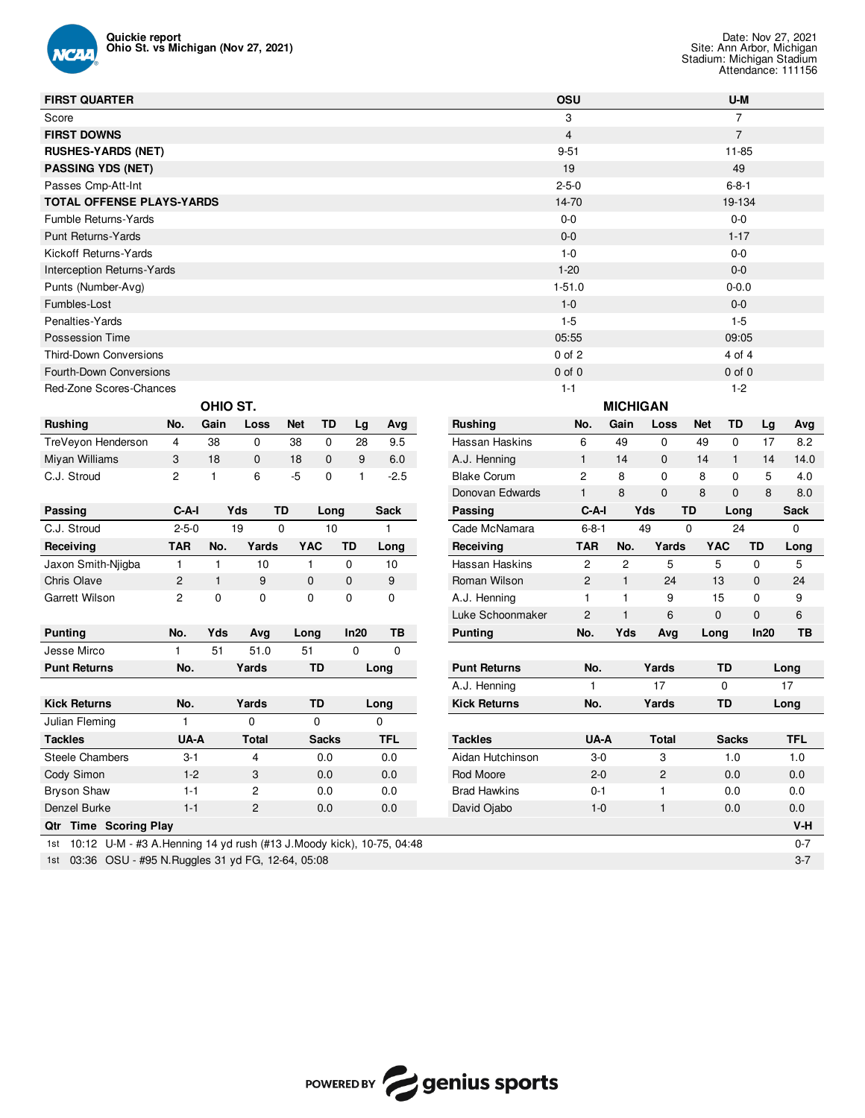

| <b>FIRST QUARTER</b>                                                       |              |              |                |                   |             |            |                     | OSU            |                 |                |             | U-M            |             |             |
|----------------------------------------------------------------------------|--------------|--------------|----------------|-------------------|-------------|------------|---------------------|----------------|-----------------|----------------|-------------|----------------|-------------|-------------|
| Score                                                                      |              |              |                |                   |             |            |                     | 3              |                 |                |             | $\overline{7}$ |             |             |
| <b>FIRST DOWNS</b>                                                         |              |              |                |                   |             |            |                     | 4              |                 |                |             | $\overline{7}$ |             |             |
| <b>RUSHES-YARDS (NET)</b>                                                  |              |              |                |                   |             |            |                     | $9 - 51$       |                 |                |             | 11-85          |             |             |
| <b>PASSING YDS (NET)</b>                                                   |              |              |                |                   |             |            |                     | 19             |                 |                |             | 49             |             |             |
| Passes Cmp-Att-Int                                                         |              |              |                |                   |             |            |                     | $2 - 5 - 0$    |                 |                |             | $6 - 8 - 1$    |             |             |
| <b>TOTAL OFFENSE PLAYS-YARDS</b>                                           |              |              |                |                   |             |            |                     | 14-70          |                 |                |             | 19-134         |             |             |
| <b>Fumble Returns-Yards</b>                                                |              |              |                |                   |             |            |                     | $0-0$          |                 |                |             | $0 - 0$        |             |             |
| <b>Punt Returns-Yards</b>                                                  |              |              |                |                   |             |            |                     | $0-0$          |                 |                |             | $1 - 17$       |             |             |
| Kickoff Returns-Yards                                                      |              |              |                |                   |             |            |                     | $1 - 0$        |                 |                |             | $0 - 0$        |             |             |
| $1 - 20$<br>$0-0$<br>Interception Returns-Yards                            |              |              |                |                   |             |            |                     |                |                 |                |             |                |             |             |
| $1 - 51.0$<br>$0 - 0.0$<br>Punts (Number-Avg)                              |              |              |                |                   |             |            |                     |                |                 |                |             |                |             |             |
| $1 - 0$<br>$0-0$<br>Fumbles-Lost                                           |              |              |                |                   |             |            |                     |                |                 |                |             |                |             |             |
| $1 - 5$<br>$1 - 5$<br>Penalties-Yards                                      |              |              |                |                   |             |            |                     |                |                 |                |             |                |             |             |
| <b>Possession Time</b>                                                     |              |              |                |                   |             |            |                     | 05:55          |                 |                |             | 09:05          |             |             |
| <b>Third-Down Conversions</b>                                              |              |              |                |                   |             |            |                     | $0$ of $2$     |                 |                |             | 4 of 4         |             |             |
| Fourth-Down Conversions                                                    |              |              |                |                   |             |            |                     | $0$ of $0$     |                 |                |             | $0$ of $0$     |             |             |
| Red-Zone Scores-Chances                                                    |              |              |                |                   |             |            |                     | $1 - 1$        |                 |                |             | $1 - 2$        |             |             |
|                                                                            |              | OHIO ST.     |                |                   |             |            |                     |                | <b>MICHIGAN</b> |                |             |                |             |             |
| <b>Rushing</b>                                                             | No.          | Gain         | Loss           | <b>Net</b><br>TD  | Lg          | Avg        | <b>Rushing</b>      | No.            | Gain            | Loss           | <b>Net</b>  | TD             | Lg          | Avg         |
| TreVeyon Henderson                                                         | 4            | 38           | 0              | 38<br>0           | 28          | 9.5        | Hassan Haskins      | 6              | 49              | 0              | 49          | 0              | 17          | 8.2         |
| Miyan Williams                                                             | 3            | 18           | $\mathbf 0$    | 18<br>$\mathbf 0$ | 9           | 6.0        | A.J. Henning        | $\mathbf{1}$   | 14              | 0              | 14          | $\mathbf{1}$   | 14          | 14.0        |
| C.J. Stroud                                                                | 2            | 1            | 6              | $-5$<br>0         | 1           | $-2.5$     | <b>Blake Corum</b>  | $\overline{c}$ | 8               | 0              | 8           | 0              | 5           | 4.0         |
|                                                                            |              |              |                |                   |             |            | Donovan Edwards     | $\mathbf{1}$   | 8               | 0              | 8           | $\mathbf 0$    | 8           | 8.0         |
| Passing                                                                    | C-A-I        |              | Yds<br>TD      |                   | Long        | Sack       | Passing             | C-A-I          |                 | Yds            | TD          | Long           |             | <b>Sack</b> |
| C.J. Stroud                                                                | $2 - 5 - 0$  |              | 19             | 0                 | 10          | 1          | Cade McNamara       | $6 - 8 - 1$    |                 | 49             | $\mathbf 0$ | 24             |             | 0           |
| Receiving                                                                  | <b>TAR</b>   | No.          | Yards          | <b>YAC</b>        | <b>TD</b>   | Long       | Receiving           | <b>TAR</b>     | No.             | Yards          | <b>YAC</b>  |                | TD          | Long        |
| Jaxon Smith-Njigba                                                         | $\mathbf{1}$ | $\mathbf{1}$ | 10             | $\mathbf{1}$      | 0           | 10         | Hassan Haskins      | 2              | $\overline{c}$  | 5              | 5           |                | 0           | 5           |
| Chris Olave                                                                | 2            | $\mathbf{1}$ | 9              | $\mathbf 0$       | 0           | 9          | Roman Wilson        | 2              | $\mathbf{1}$    | 24             | 13          |                | $\mathbf 0$ | 24          |
| Garrett Wilson                                                             | 2            | $\mathbf 0$  | 0              | $\mathbf 0$       | $\mathbf 0$ | 0          | A.J. Henning        | $\mathbf{1}$   | $\mathbf{1}$    | 9              | 15          |                | 0           | 9           |
|                                                                            |              |              |                |                   |             |            | Luke Schoonmaker    | 2              | $\mathbf{1}$    | 6              | 0           |                | $\mathbf 0$ | 6           |
| <b>Punting</b>                                                             | No.          | Yds          | Avg            | Long              | In20        | TB         | <b>Punting</b>      | No.            | Yds             | Avg            | Long        |                | In20        | TB          |
| Jesse Mirco                                                                | 1            | 51           | 51.0           | 51                | 0           | 0          |                     |                |                 |                |             |                |             |             |
| <b>Punt Returns</b>                                                        | No.          |              | Yards          | TD                |             | Long       | <b>Punt Returns</b> | No.            |                 | Yards          |             | TD             |             | Long        |
|                                                                            |              |              |                |                   |             |            | A.J. Henning        | 1              |                 | 17             |             | 0              |             | 17          |
| <b>Kick Returns</b>                                                        | No.          |              | Yards          | TD                |             | Long       | <b>Kick Returns</b> | No.            |                 | Yards          |             | <b>TD</b>      |             | Long        |
| Julian Fleming                                                             |              |              | 0              | 0                 |             |            |                     |                |                 |                |             |                |             |             |
| <b>Tackles</b>                                                             | UA-A         |              | Total          | <b>Sacks</b>      |             | <b>TFL</b> | <b>Tackles</b>      | UA-A           |                 | <b>Total</b>   |             | <b>Sacks</b>   |             | <b>TFL</b>  |
| Steele Chambers                                                            | $3 - 1$      |              | 4              | 0.0               |             | 0.0        | Aidan Hutchinson    | $3-0$          |                 | 3              |             | 1.0            |             | 1.0         |
| Cody Simon                                                                 | $1-2$        |              | 3              | 0.0               |             | $0.0\,$    | Rod Moore           | $2 - 0$        |                 | $\overline{c}$ |             | 0.0            |             | 0.0         |
| <b>Bryson Shaw</b>                                                         | $1 - 1$      |              | $\overline{c}$ | 0.0               |             | 0.0        | <b>Brad Hawkins</b> | $0 - 1$        |                 | 1              |             | $0.0\,$        |             | 0.0         |
| Denzel Burke                                                               | $1 - 1$      |              | $\overline{c}$ | 0.0               |             | $0.0\,$    | David Ojabo         | $1 - 0$        |                 | $\mathbf{1}$   |             | 0.0            |             | 0.0         |
| Qtr Time Scoring Play                                                      |              |              |                |                   |             |            |                     |                |                 |                |             |                |             | V-H         |
| 1st 10:12 U-M - #3 A. Henning 14 yd rush (#13 J. Moody kick), 10-75, 04:48 |              |              |                |                   |             |            |                     |                |                 |                |             |                |             | $0 - 7$     |
| 1st 03:36 OSU - #95 N. Ruggles 31 yd FG, 12-64, 05:08                      |              |              |                |                   |             |            |                     |                |                 |                |             |                |             | $3 - 7$     |

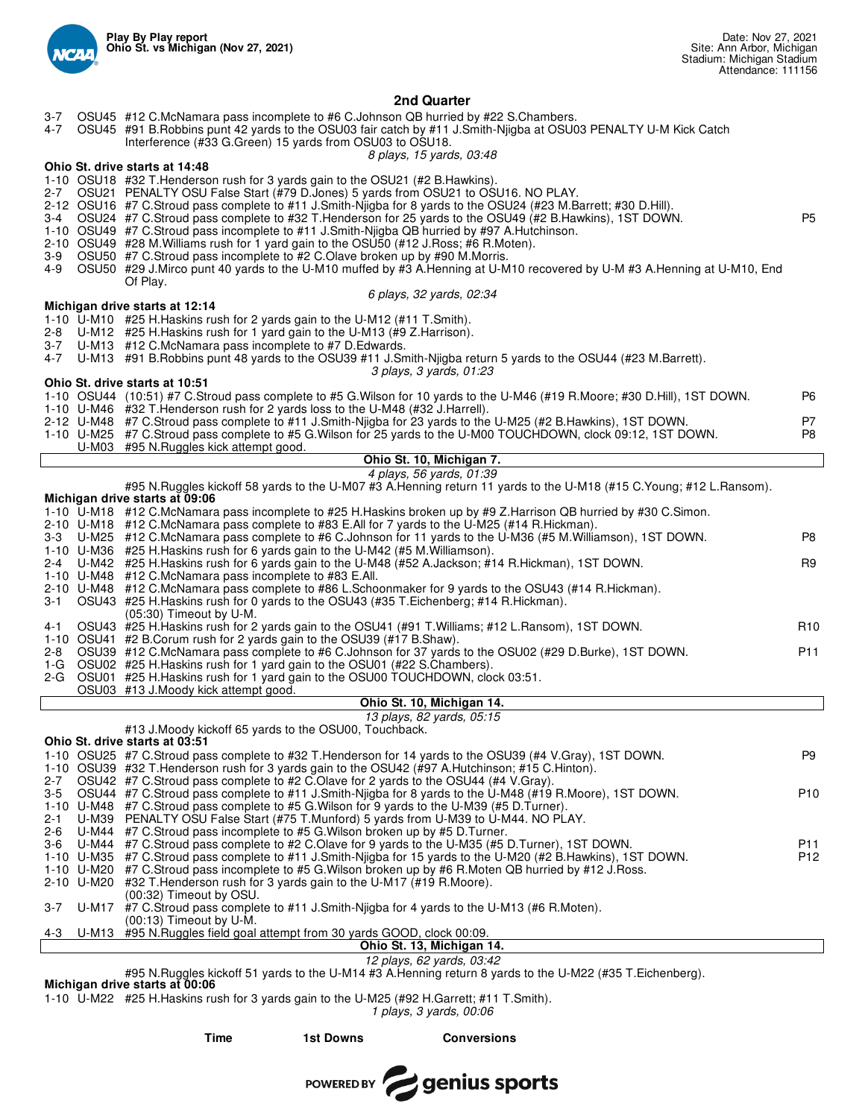

## **2nd Quarter**

- 3-7 OSU45 #12 C.McNamara pass incomplete to #6 C.Johnson QB hurried by #22 S.Chambers.
- 4-7 OSU45 #91 B.Robbins punt 42 yards to the OSU03 fair catch by #11 J.Smith-Njigba at OSU03 PENALTY U-M Kick Catch
	- Interference (#33 G.Green) 15 yards from OSU03 to OSU18.

*8 plays, 15 yards, 03:48*

#### **Ohio St. drive starts at 14:48**

- 1-10 OSU18 #32 T.Henderson rush for 3 yards gain to the OSU21 (#2 B.Hawkins).
- OSU21 PENALTY OSU False Start (#79 D.Jones) 5 yards from OSU21 to OSU16. NO PLAY.
- 2-12 OSU16 #7 C.Stroud pass complete to #11 J.Smith-Njigba for 8 yards to the OSU24 (#23 M.Barrett; #30 D.Hill).
- 3-4 OSU24 #7 C.Stroud pass complete to #32 T.Henderson for 25 yards to the OSU49 (#2 B.Hawkins), 1ST DOWN.
- 1-10 OSU49 #7 C.Stroud pass incomplete to #11 J.Smith-Njigba QB hurried by #97 A.Hutchinson.
- 2-10 OSU49 #28 M. Williams rush for 1 yard gain to the OSU50 (#12 J. Ross; #6 R. Moten).<br>3-9 OSU50 #7 C. Stroud pass incomplete to #2 C. Olave broken up by #90 M. Morris.
- 3-9 OSU50 #7 C.Stroud pass incomplete to #2 C.Olave broken up by #90 M.Morris.
- 4-9 OSU50 #29 J.Mirco punt 40 yards to the U-M10 muffed by #3 A.Henning at U-M10 recovered by U-M #3 A.Henning at U-M10, End Of Play.

## *6 plays, 32 yards, 02:34*

#### **Michigan drive starts at 12:14**

- 1-10 U-M10 #25 H.Haskins rush for 2 yards gain to the U-M12 (#11 T.Smith).
- U-M12 #25 H.Haskins rush for 1 yard gain to the U-M13 (#9 Z.Harrison).
- 3-7 U-M13 #12 C.McNamara pass incomplete to #7 D.Edwards. U-M13 #91 B.Robbins punt 48 yards to the OSU39 #11 J.Smith-Njigba return 5 yards to the OSU44 (#23 M.Barrett).
	- *3 plays, 3 yards, 01:23*

#### **Ohio St. drive starts at 10:51**

|  | 1-10 OSU44 (10:51) #7 C.Stroud pass complete to #5 G.Wilson for 10 yards to the U-M46 (#19 R.Moore: #30 D.Hill), 1ST DOWN. | P6  |
|--|----------------------------------------------------------------------------------------------------------------------------|-----|
|  | 1-10 U-M46 #32 T. Henderson rush for 2 yards loss to the U-M48 (#32 J. Harrell).                                           |     |
|  | 2-12 U-M48 #7 C.Stroud pass complete to #11 J.Smith-Njigba for 23 yards to the U-M25 (#2 B.Hawkins), 1ST DOWN.             | P7. |
|  | 1-10 U-M25 #7 C.Stroud pass complete to #5 G.Wilson for 25 yards to the U-M00 TOUCHDOWN, clock 09:12, 1ST DOWN.            | P8. |
|  | U-M03 #95 N. Ruggles kick attempt good.                                                                                    |     |
|  | Ohio St. 10, Michigan 7.                                                                                                   |     |

# *4 plays, 56 yards, 01:39*

|                    |                           | #95 N.Ruggles kickoff 58 yards to the U-M07 #3 A.Henning return 11 yards to the U-M18 (#15 C.Young; #12 L.Ransom).                                                                                                 |                        |  |  |  |  |  |  |  |  |
|--------------------|---------------------------|--------------------------------------------------------------------------------------------------------------------------------------------------------------------------------------------------------------------|------------------------|--|--|--|--|--|--|--|--|
|                    |                           | Michigan drive starts at 09:06                                                                                                                                                                                     |                        |  |  |  |  |  |  |  |  |
|                    |                           | 1-10 U-M18 #12 C.McNamara pass incomplete to #25 H.Haskins broken up by #9 Z.Harrison QB hurried by #30 C.Simon.<br>2-10 U-M18 #12 C.McNamara pass complete to #83 E.All for 7 yards to the U-M25 (#14 R.Hickman). |                        |  |  |  |  |  |  |  |  |
| $3 - 3$            |                           | U-M25 #12 C.McNamara pass complete to #6 C.Johnson for 11 yards to the U-M36 (#5 M.Williamson), 1ST DOWN.                                                                                                          | P8                     |  |  |  |  |  |  |  |  |
|                    |                           | 1-10 U-M36 #25 H. Haskins rush for 6 yards gain to the U-M42 (#5 M. Williamson).                                                                                                                                   |                        |  |  |  |  |  |  |  |  |
| $2 - 4$            |                           | U-M42 #25 H. Haskins rush for 6 yards gain to the U-M48 (#52 A. Jackson; #14 R. Hickman), 1ST DOWN.                                                                                                                | R9                     |  |  |  |  |  |  |  |  |
|                    |                           | 1-10 U-M48 #12 C.McNamara pass incomplete to #83 E.All.                                                                                                                                                            |                        |  |  |  |  |  |  |  |  |
|                    |                           | 2-10 U-M48 #12 C.McNamara pass complete to #86 L.Schoonmaker for 9 yards to the OSU43 (#14 R.Hickman).                                                                                                             |                        |  |  |  |  |  |  |  |  |
| $3 - 1$            |                           | OSU43 #25 H.Haskins rush for 0 yards to the OSU43 (#35 T.Eichenberg; #14 R.Hickman).                                                                                                                               |                        |  |  |  |  |  |  |  |  |
|                    |                           | (05:30) Timeout by U-M.                                                                                                                                                                                            |                        |  |  |  |  |  |  |  |  |
| 4-1                |                           | OSU43 #25 H.Haskins rush for 2 yards gain to the OSU41 (#91 T.Williams; #12 L.Ransom), 1ST DOWN.                                                                                                                   | R <sub>10</sub>        |  |  |  |  |  |  |  |  |
|                    |                           | 1-10 OSU41 #2 B.Corum rush for 2 yards gain to the OSU39 (#17 B.Shaw).                                                                                                                                             |                        |  |  |  |  |  |  |  |  |
| $2 - 8$            |                           | OSU39 #12 C.McNamara pass complete to #6 C.Johnson for 37 yards to the OSU02 (#29 D.Burke), 1ST DOWN.                                                                                                              | P <sub>11</sub>        |  |  |  |  |  |  |  |  |
| 1-G                |                           | OSU02 #25 H. Haskins rush for 1 yard gain to the OSU01 (#22 S. Chambers).                                                                                                                                          |                        |  |  |  |  |  |  |  |  |
|                    |                           | 2-G OSU01 #25 H. Haskins rush for 1 yard gain to the OSU00 TOUCHDOWN, clock 03:51.                                                                                                                                 |                        |  |  |  |  |  |  |  |  |
|                    |                           | OSU03 #13 J.Moody kick attempt good.                                                                                                                                                                               |                        |  |  |  |  |  |  |  |  |
|                    | Ohio St. 10, Michigan 14. |                                                                                                                                                                                                                    |                        |  |  |  |  |  |  |  |  |
|                    | 13 plays, 82 yards, 05:15 |                                                                                                                                                                                                                    |                        |  |  |  |  |  |  |  |  |
|                    |                           | #13 J.Moody kickoff 65 yards to the OSU00, Touchback.<br>Ohio St. drive starts at 03:51                                                                                                                            |                        |  |  |  |  |  |  |  |  |
|                    |                           | 1-10 OSU25 #7 C.Stroud pass complete to #32 T.Henderson for 14 yards to the OSU39 (#4 V.Gray), 1ST DOWN.                                                                                                           |                        |  |  |  |  |  |  |  |  |
|                    |                           |                                                                                                                                                                                                                    |                        |  |  |  |  |  |  |  |  |
|                    |                           |                                                                                                                                                                                                                    | P <sub>9</sub>         |  |  |  |  |  |  |  |  |
|                    |                           | 1-10 OSU39 #32 T.Henderson rush for 3 yards gain to the OSU42 (#97 A.Hutchinson; #15 C.Hinton).                                                                                                                    |                        |  |  |  |  |  |  |  |  |
| $2 - 7$            |                           | OSU42 #7 C.Stroud pass complete to #2 C.Olave for 2 yards to the OSU44 (#4 V.Gray).                                                                                                                                |                        |  |  |  |  |  |  |  |  |
| $3-5$              |                           | OSU44 #7 C.Stroud pass complete to #11 J.Smith-Nijgba for 8 yards to the U-M48 (#19 R.Moore), 1ST DOWN.                                                                                                            | P <sub>10</sub>        |  |  |  |  |  |  |  |  |
|                    |                           | 1-10 U-M48 #7 C.Stroud pass complete to #5 G.Wilson for 9 yards to the U-M39 (#5 D.Turner).                                                                                                                        |                        |  |  |  |  |  |  |  |  |
| $2 - 1$            |                           | U-M39 PENALTY OSU False Start (#75 T.Munford) 5 yards from U-M39 to U-M44. NO PLAY.                                                                                                                                |                        |  |  |  |  |  |  |  |  |
| $2 - 6$<br>$3 - 6$ |                           | U-M44 #7 C.Stroud pass incomplete to #5 G. Wilson broken up by #5 D. Turner.                                                                                                                                       |                        |  |  |  |  |  |  |  |  |
|                    |                           | U-M44 #7 C.Stroud pass complete to #2 C.Olave for 9 yards to the U-M35 (#5 D.Turner), 1ST DOWN.<br>1-10 U-M35 #7 C.Stroud pass complete to #11 J.Smith-Niigba for 15 yards to the U-M20 (#2 B.Hawkins), 1ST DOWN.  | P11<br>P <sub>12</sub> |  |  |  |  |  |  |  |  |
|                    |                           | 1-10 U-M20 #7 C.Stroud pass incomplete to #5 G.Wilson broken up by #6 R.Moten QB hurried by #12 J.Ross.                                                                                                            |                        |  |  |  |  |  |  |  |  |
|                    |                           | 2-10 U-M20 #32 T. Henderson rush for 3 yards gain to the U-M17 (#19 R. Moore).                                                                                                                                     |                        |  |  |  |  |  |  |  |  |
|                    |                           | (00:32) Timeout by OSU.                                                                                                                                                                                            |                        |  |  |  |  |  |  |  |  |
| $3 - 7$            |                           | U-M17 #7 C.Stroud pass complete to #11 J.Smith-Nigba for 4 yards to the U-M13 (#6 R.Moten).                                                                                                                        |                        |  |  |  |  |  |  |  |  |
|                    |                           | $(00:13)$ Timeout by U-M.                                                                                                                                                                                          |                        |  |  |  |  |  |  |  |  |
| 4-3                |                           | U-M13 #95 N. Ruggles field goal attempt from 30 yards GOOD, clock 00:09.<br>Ohio St. 13, Michigan 14.                                                                                                              |                        |  |  |  |  |  |  |  |  |

*12 plays, 62 yards, 03:42*

#95 N.Ruggles kickoff 51 yards to the U-M14 #3 A.Henning return 8 yards to the U-M22 (#35 T.Eichenberg).

**Michigan drive starts at 00:06**

1-10 U-M22 #25 H.Haskins rush for 3 yards gain to the U-M25 (#92 H.Garrett; #11 T.Smith).

*1 plays, 3 yards, 00:06*

**Time 1st Downs Conversions**

POWERED BY **Genius sports**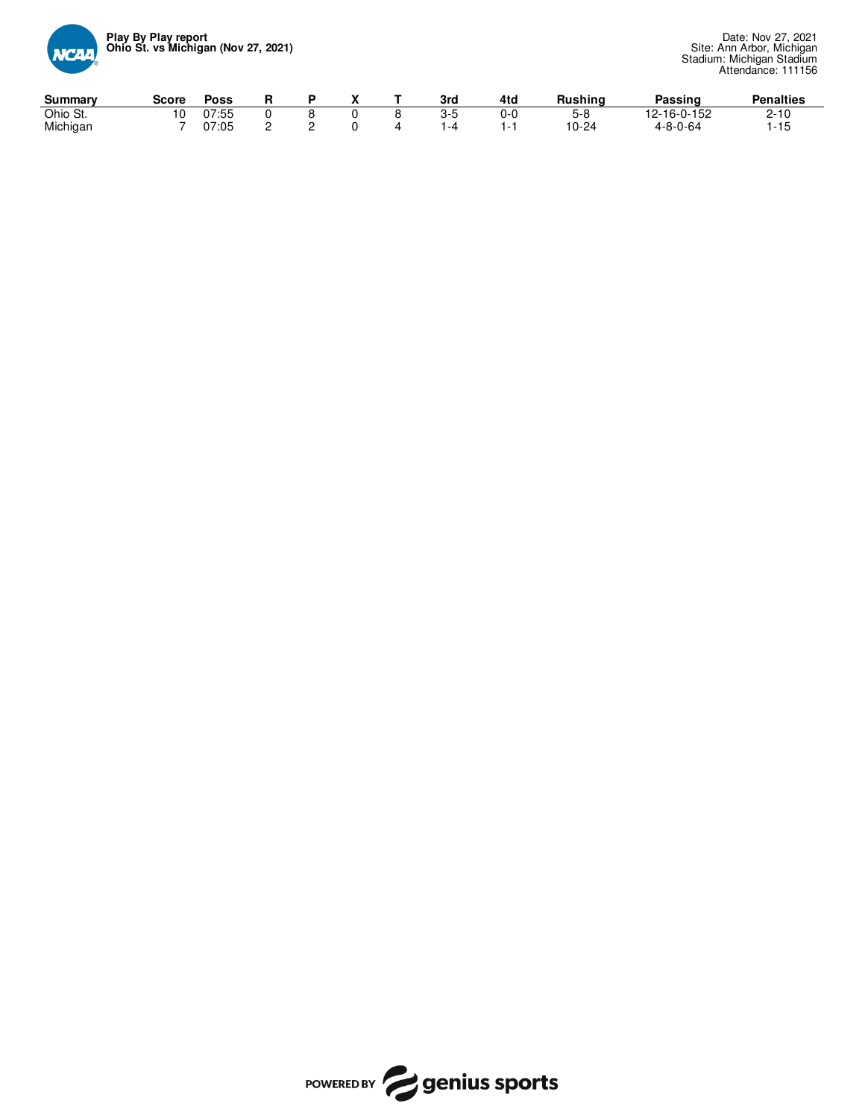

| Summary  | Score | Poss  |  |  | 3 <sub>rc</sub> | 4to | Rushing | Passing     | <b>Penalties</b>   |
|----------|-------|-------|--|--|-----------------|-----|---------|-------------|--------------------|
| Ohio St. |       | 07:55 |  |  |                 | 0-0 | ס-פ     | 12-16-0-152 | $\sim$<br><b>U</b> |
| Michigan |       | 07:05 |  |  |                 |     | 10-24   | 4-8-0-64    | -<br>ں ا           |

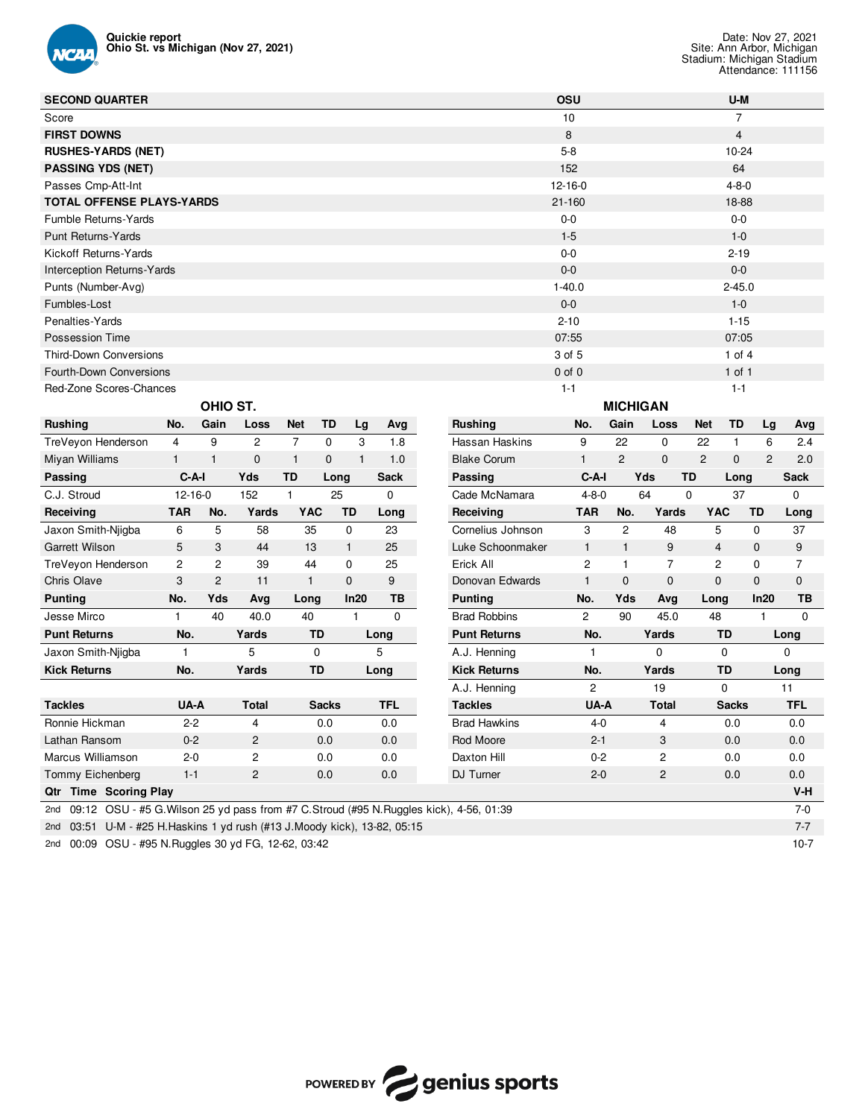

| <b>SECOND QUARTER</b>                                                                           |               |                |                |                |              |              |             |  |                     | OSU            |                |                         |                | U-M            |                |             |
|-------------------------------------------------------------------------------------------------|---------------|----------------|----------------|----------------|--------------|--------------|-------------|--|---------------------|----------------|----------------|-------------------------|----------------|----------------|----------------|-------------|
| Score                                                                                           |               |                |                |                |              |              |             |  |                     | 10             |                |                         |                | 7              |                |             |
| <b>FIRST DOWNS</b>                                                                              |               |                |                |                |              |              |             |  |                     | 8              |                |                         |                | $\overline{4}$ |                |             |
| <b>RUSHES-YARDS (NET)</b>                                                                       |               |                |                |                |              |              |             |  |                     | $5-8$          |                |                         |                | $10 - 24$      |                |             |
| <b>PASSING YDS (NET)</b>                                                                        |               |                |                |                |              |              |             |  |                     | 152            |                |                         |                | 64             |                |             |
| Passes Cmp-Att-Int                                                                              |               |                |                |                |              |              |             |  |                     | $12 - 16 - 0$  |                |                         | $4 - 8 - 0$    |                |                |             |
| <b>TOTAL OFFENSE PLAYS-YARDS</b>                                                                |               |                |                |                |              |              |             |  |                     | $21 - 160$     |                |                         |                | 18-88          |                |             |
| <b>Fumble Returns-Yards</b>                                                                     |               |                |                |                |              |              |             |  |                     | $0-0$          |                |                         |                | $0-0$          |                |             |
| <b>Punt Returns-Yards</b>                                                                       |               |                |                |                |              |              |             |  |                     | $1 - 5$        |                |                         |                | $1 - 0$        |                |             |
| Kickoff Returns-Yards                                                                           |               |                |                |                |              |              |             |  |                     | $0-0$          |                |                         |                | $2 - 19$       |                |             |
| <b>Interception Returns-Yards</b>                                                               |               |                |                |                |              |              |             |  |                     | $0-0$          |                |                         |                | $0-0$          |                |             |
| Punts (Number-Avg)                                                                              |               |                |                |                |              |              |             |  |                     | $1 - 40.0$     |                |                         |                | $2 - 45.0$     |                |             |
| Fumbles-Lost                                                                                    |               |                |                |                |              |              |             |  |                     | $0-0$          |                |                         |                | $1 - 0$        |                |             |
| Penalties-Yards                                                                                 |               |                |                |                |              |              |             |  |                     | $2 - 10$       |                |                         |                | $1 - 15$       |                |             |
| Possession Time                                                                                 |               |                |                |                |              |              |             |  |                     | 07:55          |                |                         |                | 07:05          |                |             |
| <b>Third-Down Conversions</b>                                                                   |               |                |                |                |              |              |             |  |                     | 3 of 5         |                |                         |                | 1 of $4$       |                |             |
| Fourth-Down Conversions                                                                         |               |                |                |                |              |              |             |  |                     | $0$ of $0$     |                |                         |                | $1$ of $1$     |                |             |
| Red-Zone Scores-Chances                                                                         |               |                |                |                |              |              |             |  |                     | $1 - 1$        |                |                         |                | $1 - 1$        |                |             |
| OHIO ST.<br><b>MICHIGAN</b>                                                                     |               |                |                |                |              |              |             |  |                     |                |                |                         |                |                |                |             |
| <b>Rushing</b>                                                                                  | No.           | Gain           | Loss           | <b>Net</b>     | TD           | Lg           | Avg         |  | <b>Rushing</b>      | No.            | Gain           | Loss                    | Net            | TD             | Lg             | Avg         |
| TreVeyon Henderson                                                                              | 4             | 9              | $\overline{c}$ | $\overline{7}$ | $\mathbf 0$  | 3            | 1.8         |  | Hassan Haskins      | 9              | 22             | 0                       | 22             | $\mathbf{1}$   | 6              | 2.4         |
| Miyan Williams                                                                                  | $\mathbf{1}$  | $\mathbf{1}$   | $\mathbf 0$    | $\mathbf{1}$   | 0            | $\mathbf{1}$ | 1.0         |  | <b>Blake Corum</b>  | 1              | $\overline{2}$ | $\mathbf{0}$            | $\overline{c}$ | $\mathbf 0$    | $\overline{2}$ | 2.0         |
| Passing                                                                                         | C-A-I         |                | Yds            | <b>TD</b>      | Long         |              | <b>Sack</b> |  | Passing             | $C-A-I$        |                | Yds                     | <b>TD</b>      | Long           |                | <b>Sack</b> |
| C.J. Stroud                                                                                     | $12 - 16 - 0$ |                | 152            | $\mathbf{1}$   | 25           |              | $\mathbf 0$ |  | Cade McNamara       | $4 - 8 - 0$    |                | 64                      | $\mathbf 0$    | 37             |                | 0           |
| Receiving                                                                                       | <b>TAR</b>    | No.            | Yards          | <b>YAC</b>     |              | TD           | Long        |  | Receiving           | <b>TAR</b>     | No.            | Yards                   | <b>YAC</b>     |                | TD             | Long        |
| Jaxon Smith-Njigba                                                                              | 6             | 5              | 58             | 35             |              | $\mathbf 0$  | 23          |  | Cornelius Johnson   | 3              | $\overline{c}$ | 48                      | 5              |                | $\mathbf 0$    | 37          |
| Garrett Wilson                                                                                  | 5             | 3              | 44             | 13             |              | $\mathbf{1}$ | 25          |  | Luke Schoonmaker    | $\mathbf{1}$   | $\mathbf{1}$   | 9                       | 4              |                | $\mathbf 0$    | 9           |
| TreVeyon Henderson                                                                              | 2             | $\overline{c}$ | 39             | 44             |              | 0            | 25          |  | Erick All           | $\overline{c}$ | 1              | $\overline{7}$          | 2              |                | $\mathbf 0$    | 7           |
| Chris Olave                                                                                     | 3             | 2              | 11             | $\mathbf{1}$   |              | $\mathbf{0}$ | 9           |  | Donovan Edwards     | $\mathbf{1}$   | 0              | $\mathbf 0$             | $\mathbf{0}$   |                | $\mathbf{0}$   | $\mathbf 0$ |
| <b>Punting</b>                                                                                  | No.           | Yds            | Avg            | Long           |              | In20         | ΤВ          |  | <b>Punting</b>      | No.            | Yds            | Avg                     | Long           |                | ln20           | TВ          |
| Jesse Mirco                                                                                     | 1             | 40             | 40.0           | 40             |              | $\mathbf{1}$ | $\mathbf 0$ |  | <b>Brad Robbins</b> | 2              | 90             | 45.0                    | 48             |                | 1              | $\mathbf 0$ |
| <b>Punt Returns</b>                                                                             | No.           |                | Yards          | TD             |              |              | Long        |  | <b>Punt Returns</b> | No.            |                | Yards                   |                | TD             |                | Long        |
| Jaxon Smith-Njigba                                                                              | $\mathbf{1}$  |                | 5              | 0              |              |              | 5           |  | A.J. Henning        | $\mathbf{1}$   |                | 0                       |                | 0              |                | 0           |
| <b>Kick Returns</b>                                                                             | No.           |                | Yards          | TD             |              |              | Long        |  | <b>Kick Returns</b> | No.            |                | Yards                   |                | TD             |                | Long        |
|                                                                                                 |               |                |                |                |              |              |             |  | A.J. Henning        | $\overline{c}$ |                | 19                      |                | $\mathbf 0$    |                | 11          |
| <b>Tackles</b>                                                                                  | UA-A          |                | Total          |                | <b>Sacks</b> |              | TFL         |  | <b>Tackles</b>      | UA-A           |                | Total                   |                | <b>Sacks</b>   |                | <b>TFL</b>  |
| Ronnie Hickman                                                                                  | $2 - 2$       |                | 4              |                | $0.0\,$      |              | $0.0\,$     |  | <b>Brad Hawkins</b> | $4 - 0$        |                | 4                       |                | 0.0            |                | 0.0         |
| Lathan Ransom                                                                                   | $0-2$         |                | 2              |                | 0.0          |              | $0.0\,$     |  | Rod Moore           | $2 - 1$        |                | 3                       |                | 0.0            |                | 0.0         |
| Marcus Williamson                                                                               | $2 - 0$       |                | 2              |                | 0.0          |              | 0.0         |  | Daxton Hill         | $0 - 2$        |                | 2                       |                | 0.0            |                | 0.0         |
| Tommy Eichenberg                                                                                | $1 - 1$       |                | 2              |                | 0.0          |              | $0.0\,$     |  | DJ Turner           | $2 - 0$        |                | $\overline{\mathbf{c}}$ |                | 0.0            |                | 0.0         |
| Qtr Time Scoring Play                                                                           |               |                |                |                |              |              |             |  |                     |                |                |                         |                |                |                | $V-H$       |
| 09:12 OSU - #5 G. Wilson 25 yd pass from #7 C. Stroud (#95 N. Ruggles kick), 4-56, 01:39<br>2nd |               |                |                |                |              |              |             |  |                     |                |                |                         |                |                |                | $7 - 0$     |
| 2nd 03:51 U-M - #25 H.Haskins 1 yd rush (#13 J.Moody kick), 13-82, 05:15                        |               |                |                |                |              |              |             |  |                     |                |                |                         |                |                |                | $7 - 7$     |

2nd 00:09 OSU - #95 N.Ruggles 30 yd FG, 12-62, 03:42 10-7

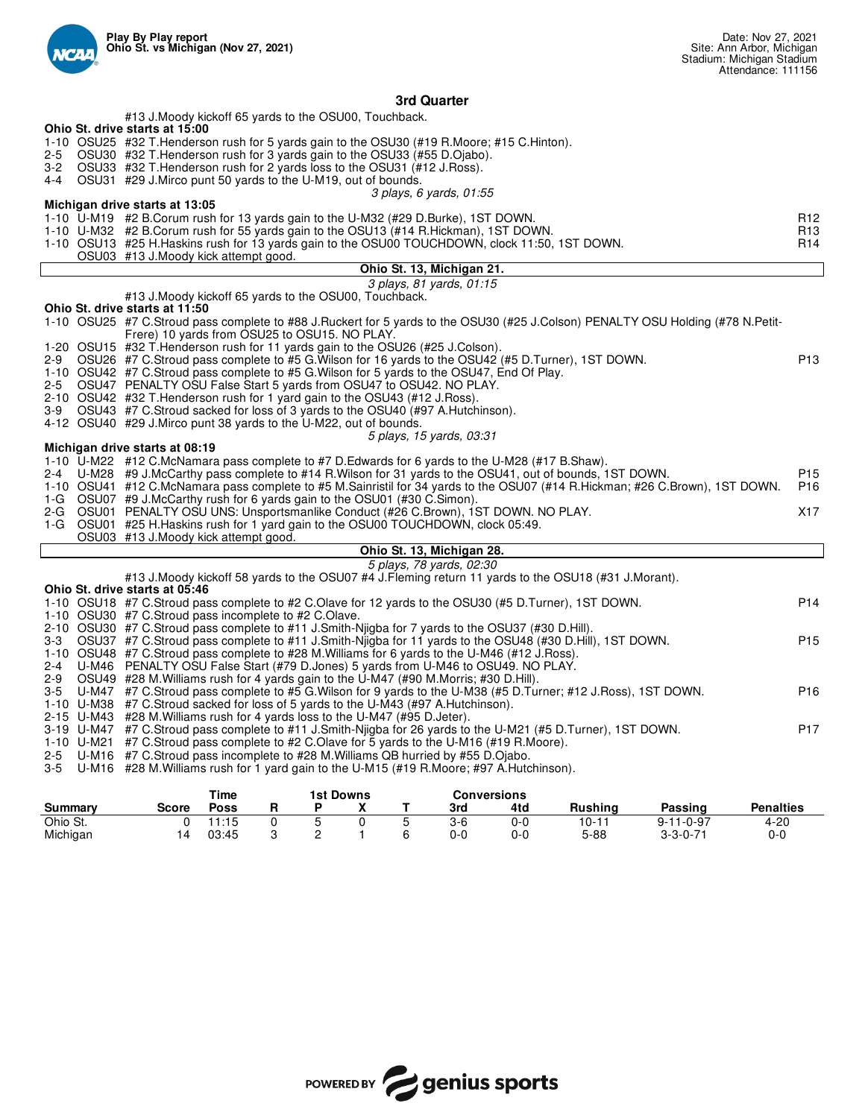

# **3rd Quarter**

|                |              | Time        |        |   | <b>1st Downs</b> |         | Conversions |         |                   |                  |
|----------------|--------------|-------------|--------|---|------------------|---------|-------------|---------|-------------------|------------------|
| <b>Summary</b> | <b>Score</b> | <b>Poss</b> |        |   |                  | 3rd     | 4td         | Rushina | Passing           | <b>Penalties</b> |
| Ohio St.       |              | 1:15        |        |   |                  | $3-6$   | 0-0         | 10-11   | $9 - 11 - 0 - 97$ | $4 - 20$         |
| Michigan       |              | 03:45       | ົ<br>◡ | ⌒ |                  | $0 - 0$ | 0-0         | 5-88    | $3 - 3 - 0 - 71$  | 0-0              |

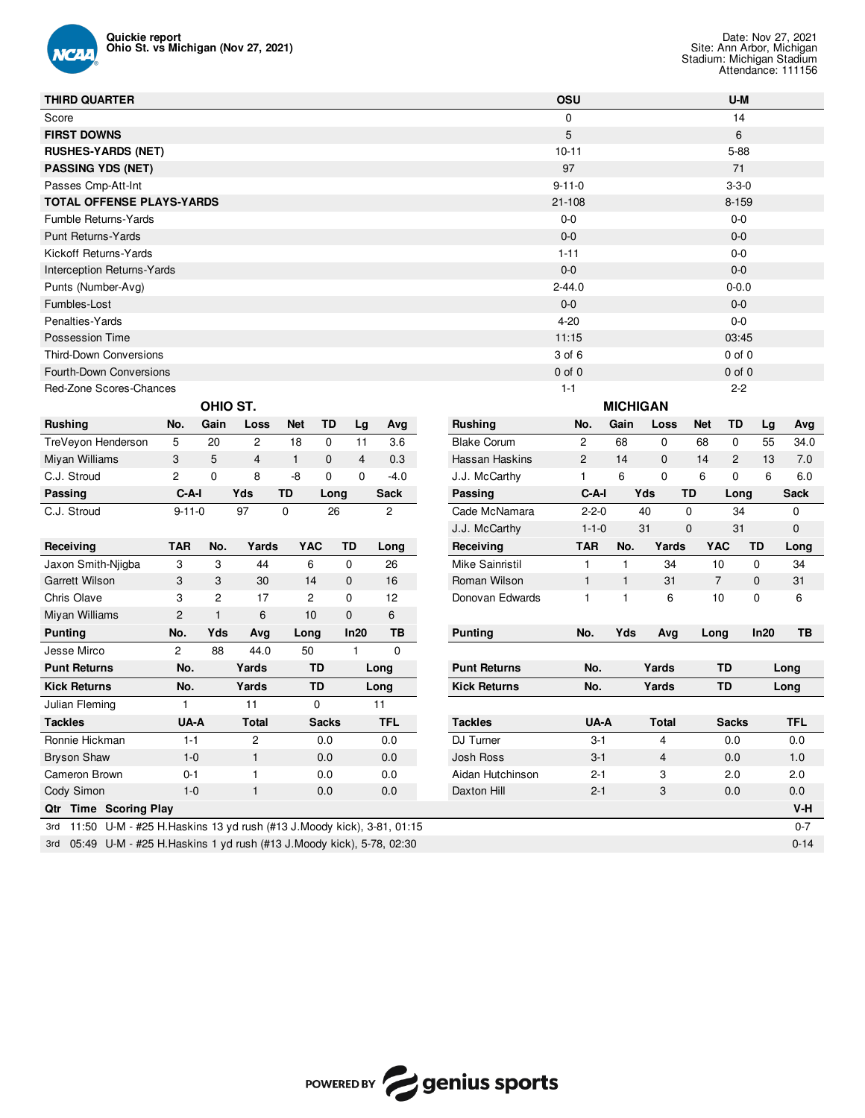

| <b>THIRD QUARTER</b>                                                     |                |                |                |                |              |                |                |             |                     | OSU             |              |                |                | U-M          |            |             |
|--------------------------------------------------------------------------|----------------|----------------|----------------|----------------|--------------|----------------|----------------|-------------|---------------------|-----------------|--------------|----------------|----------------|--------------|------------|-------------|
| Score                                                                    |                |                |                |                |              |                |                |             |                     | $\mathbf 0$     |              |                |                | 14           |            |             |
| <b>FIRST DOWNS</b>                                                       |                |                |                |                |              |                |                |             |                     | 5               |              |                |                | 6            |            |             |
| <b>RUSHES-YARDS (NET)</b>                                                |                |                |                |                |              |                |                |             |                     | $10 - 11$       |              |                |                | 5-88         |            |             |
| <b>PASSING YDS (NET)</b>                                                 |                |                |                |                |              |                | 71             |             |                     |                 |              |                |                |              |            |             |
| Passes Cmp-Att-Int                                                       |                |                |                |                |              |                |                | $3 - 3 - 0$ |                     |                 |              |                |                |              |            |             |
| <b>TOTAL OFFENSE PLAYS-YARDS</b>                                         |                |                |                |                | $21 - 108$   |                |                |             |                     | $8 - 159$       |              |                |                |              |            |             |
| Fumble Returns-Yards                                                     |                |                |                |                |              |                | $0-0$          |             |                     |                 |              |                |                |              |            |             |
| <b>Punt Returns-Yards</b>                                                |                |                |                |                |              |                |                | $0-0$       |                     |                 |              |                |                |              |            |             |
| Kickoff Returns-Yards                                                    |                |                |                |                |              |                |                |             |                     |                 | $0-0$        |                |                |              |            |             |
| Interception Returns-Yards                                               |                |                |                |                |              |                |                |             |                     | $0-0$           |              |                | $0-0$          |              |            |             |
| Punts (Number-Avg)                                                       |                |                |                |                |              |                |                |             |                     | $2 - 44.0$      |              |                | $0 - 0.0$      |              |            |             |
| Fumbles-Lost                                                             |                |                |                |                |              |                |                |             |                     | $0-0$           |              |                |                | $0-0$        |            |             |
| Penalties-Yards                                                          |                |                |                |                |              |                |                |             |                     | $4 - 20$        |              |                |                | $0-0$        |            |             |
| Possession Time                                                          |                |                |                |                |              |                |                |             |                     | 11:15           |              |                |                | 03:45        |            |             |
| <b>Third-Down Conversions</b>                                            |                |                |                |                |              |                |                |             |                     | 3 of 6          |              |                |                | $0$ of $0$   |            |             |
| <b>Fourth-Down Conversions</b>                                           |                |                |                |                |              |                |                |             |                     | $0$ of $0$      |              |                |                | $0$ of $0$   |            |             |
| Red-Zone Scores-Chances<br>$1 - 1$<br>$2 - 2$                            |                |                |                |                |              |                |                |             |                     |                 |              |                |                |              |            |             |
|                                                                          | OHIO ST.       |                |                |                |              |                |                |             |                     | <b>MICHIGAN</b> |              |                |                |              |            |             |
| <b>Rushing</b>                                                           | No.            | Gain           | Loss           | <b>Net</b>     | TD           | Lg             | Avg            |             | <b>Rushing</b>      | No.             | Gain         | Loss           | <b>Net</b>     | TD           | Lg         | Avg         |
| TreVeyon Henderson                                                       | 5              | 20             | $\mathbf{2}$   | 18             | 0            | 11             | 3.6            |             | <b>Blake Corum</b>  | $\overline{c}$  | 68           | $\mathbf 0$    | 68             | 0            | 55         | 34.0        |
| Miyan Williams                                                           | 3              | 5              | $\overline{4}$ | $\mathbf{1}$   | $\mathbf{0}$ | $\overline{4}$ | 0.3            |             | Hassan Haskins      | $\overline{c}$  | 14           | $\mathbf{0}$   | 14             | $\mathbf{2}$ | 13         | 7.0         |
| C.J. Stroud                                                              | 2              | $\mathbf 0$    | 8              | -8             | $\mathbf 0$  | $\mathbf 0$    | $-4.0$         |             | J.J. McCarthy       | $\mathbf{1}$    | 6            | 0              | 6              | 0            | 6          | 6.0         |
| Passing                                                                  | $C-A-I$        |                | Yds            | TD             | Long         | Sack           |                |             | Passing             | C-A-I           |              | Yds            | TD             | Long         |            | <b>Sack</b> |
| C.J. Stroud                                                              | $9 - 11 - 0$   |                | 97             | 0              | 26           |                | $\overline{c}$ |             | Cade McNamara       | $2 - 2 - 0$     |              | 40             | 0              | 34           |            | 0           |
|                                                                          |                |                |                |                |              |                |                |             | J.J. McCarthy       | $1 - 1 - 0$     |              | 31             | $\mathbf 0$    | 31           |            | $\mathbf 0$ |
| Receiving                                                                | <b>TAR</b>     | No.            | Yards          | <b>YAC</b>     | TD           |                | Long           |             | Receiving           | <b>TAR</b>      | No.          | Yards          | <b>YAC</b>     |              | TD         | Long        |
| Jaxon Smith-Niigba                                                       | 3              | 3              | 44             | 6              | 0            |                | 26             |             | Mike Sainristil     | 1               | $\mathbf{1}$ | 34             | 10             |              | 0          | 34          |
| Garrett Wilson                                                           | 3              | 3              | 30             | 14             | 0            |                | 16             |             | Roman Wilson        | 1               | $\mathbf{1}$ | 31             | $\overline{7}$ |              | $\pmb{0}$  | 31          |
| Chris Olave                                                              | 3              | $\overline{c}$ | 17             | $\overline{c}$ | 0            |                | 12             |             | Donovan Edwards     | 1               | $\mathbf{1}$ | 6              | 10             |              | 0          | 6           |
| Miyan Williams                                                           | $\overline{c}$ | 1              | 6              | 10             | 0            |                | 6              |             |                     |                 |              |                |                |              |            |             |
| <b>Punting</b>                                                           | No.            | Yds            | Avg            | Long           | In20         |                | TB             |             | <b>Punting</b>      | No.             | Yds          | Avg            | Long           |              | In20       | TВ          |
| Jesse Mirco                                                              | $\overline{c}$ | 88             | 44.0           | 50             | 1.           |                | $\mathbf 0$    |             |                     |                 |              |                |                |              |            |             |
| <b>Punt Returns</b>                                                      | No.            |                | Yards          | TD             |              |                | Long           |             | <b>Punt Returns</b> | No.             |              | Yards          |                | TD           |            | Long        |
| <b>Kick Returns</b>                                                      | No.            |                | Yards          | TD             |              |                | Long           |             | <b>Kick Returns</b> |                 | No.<br>Yards |                | <b>TD</b>      |              | Long       |             |
| Julian Fleming                                                           | 1              |                | 11             | 0              |              | 11             |                |             |                     |                 |              |                |                |              |            |             |
| <b>Tackles</b>                                                           | UA-A           |                | <b>Total</b>   |                | <b>Sacks</b> |                | <b>TFL</b>     |             | <b>Tackles</b>      | UA-A            |              | <b>Total</b>   | <b>Sacks</b>   |              | <b>TFL</b> |             |
| Ronnie Hickman                                                           | $1 - 1$        |                | $\overline{c}$ |                | 0.0          |                | 0.0            |             | DJ Turner           | $3 - 1$         |              | 4              |                | 0.0          | 0.0        |             |
| <b>Bryson Shaw</b>                                                       | $1 - 0$        |                | $\mathbf{1}$   |                | 0.0          |                | 0.0            |             | Josh Ross           | $3 - 1$         |              | $\overline{4}$ |                | 0.0          | 1.0        |             |
| Cameron Brown                                                            | $0 - 1$        |                | $\mathbf{1}$   |                | 0.0          |                | 0.0            |             | Aidan Hutchinson    | $2 - 1$         |              | 3              | 2.0            |              | 2.0        |             |
| Cody Simon                                                               | $1-0$          |                | $\mathbf{1}$   |                | 0.0          |                | 0.0            |             | Daxton Hill         | $2 - 1$         |              | 3              | 0.0            |              | 0.0        |             |
| Qtr Time Scoring Play                                                    |                |                |                |                |              |                |                |             |                     |                 |              |                |                |              |            | V-H         |
| 3rd 11:50 U-M - #25 H.Haskins 13 yd rush (#13 J.Moody kick), 3-81, 01:15 |                |                |                |                |              |                |                |             |                     |                 | $0 - 7$      |                |                |              |            |             |
| 3rd 05:49 U-M - #25 H.Haskins 1 yd rush (#13 J.Moody kick), 5-78, 02:30  |                |                |                |                |              |                |                |             |                     |                 |              |                |                |              |            | $0 - 14$    |

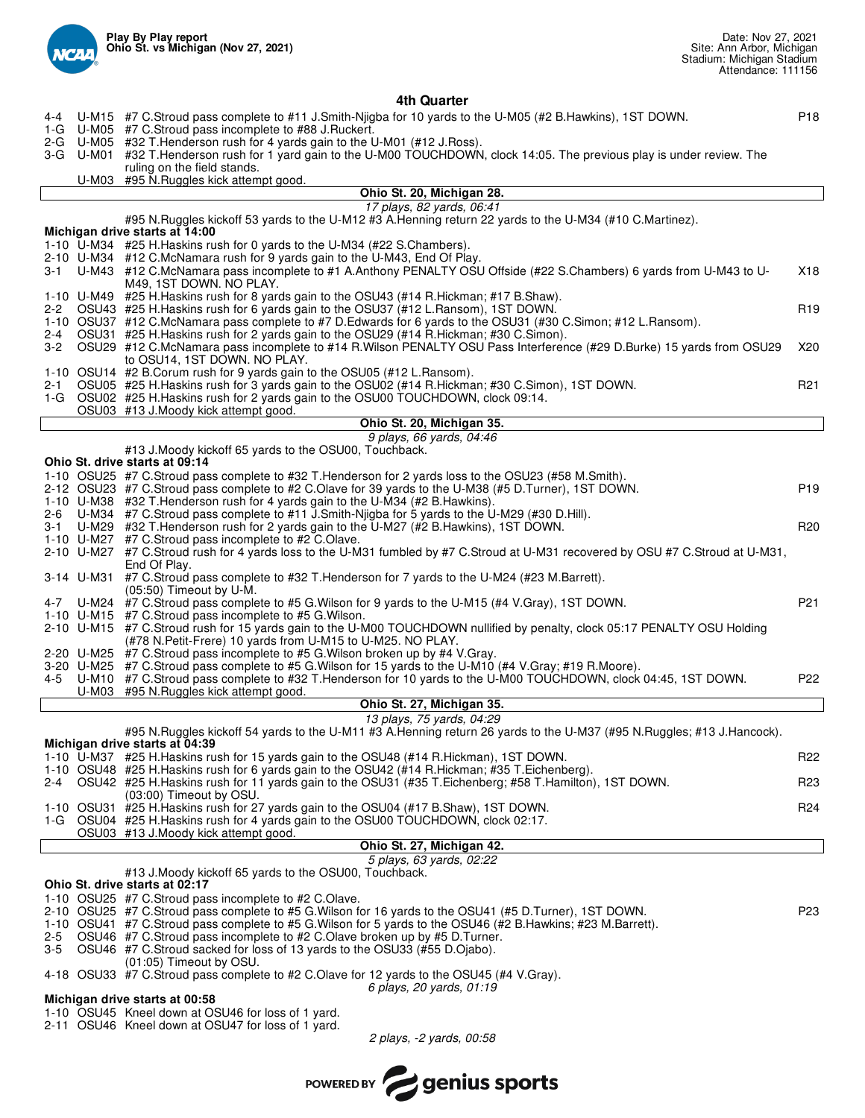

# **4th Quarter**

| $4 - 4$<br>1-G                                                                                                                                                         |           | U-M15 #7 C.Stroud pass complete to #11 J.Smith-Njigba for 10 yards to the U-M05 (#2 B.Hawkins), 1ST DOWN.<br>U-M05 #7 C.Stroud pass incomplete to #88 J.Ruckert.                                    | P <sub>18</sub> |  |  |  |  |  |  |  |
|------------------------------------------------------------------------------------------------------------------------------------------------------------------------|-----------|-----------------------------------------------------------------------------------------------------------------------------------------------------------------------------------------------------|-----------------|--|--|--|--|--|--|--|
|                                                                                                                                                                        |           | 2-G U-M05 #32 T. Henderson rush for 4 yards gain to the U-M01 (#12 J. Ross).                                                                                                                        |                 |  |  |  |  |  |  |  |
|                                                                                                                                                                        | 3-G U-M01 | #32 T.Henderson rush for 1 yard gain to the U-M00 TOUCHDOWN, clock 14:05. The previous play is under review. The<br>ruling on the field stands.                                                     |                 |  |  |  |  |  |  |  |
|                                                                                                                                                                        |           | U-M03 #95 N.Ruggles kick attempt good.                                                                                                                                                              |                 |  |  |  |  |  |  |  |
|                                                                                                                                                                        |           | Ohio St. 20, Michigan 28.                                                                                                                                                                           |                 |  |  |  |  |  |  |  |
| 17 plays, 82 yards, 06:41<br>#95 N.Ruggles kickoff 53 yards to the U-M12 #3 A.Henning return 22 yards to the U-M34 (#10 C.Martinez).<br>Michigan drive starts at 14:00 |           |                                                                                                                                                                                                     |                 |  |  |  |  |  |  |  |
|                                                                                                                                                                        |           | 1-10 U-M34 #25 H. Haskins rush for 0 yards to the U-M34 (#22 S. Chambers).                                                                                                                          |                 |  |  |  |  |  |  |  |
|                                                                                                                                                                        |           | 2-10 U-M34 #12 C.McNamara rush for 9 yards gain to the U-M43, End Of Play.                                                                                                                          |                 |  |  |  |  |  |  |  |
|                                                                                                                                                                        |           | 3-1 U-M43 #12 C.McNamara pass incomplete to #1 A.Anthony PENALTY OSU Offside (#22 S.Chambers) 6 yards from U-M43 to U-<br>M49, 1ST DOWN. NO PLAY.                                                   | X18             |  |  |  |  |  |  |  |
|                                                                                                                                                                        |           | 1-10 U-M49 #25 H.Haskins rush for 8 yards gain to the OSU43 (#14 R.Hickman; #17 B.Shaw).                                                                                                            |                 |  |  |  |  |  |  |  |
| 2-2                                                                                                                                                                    |           | OSU43 #25 H. Haskins rush for 6 yards gain to the OSU37 (#12 L. Ransom), 1ST DOWN.<br>1-10 OSU37 #12 C.McNamara pass complete to #7 D.Edwards for 6 yards to the OSU31 (#30 C.Simon; #12 L.Ransom). | R <sub>19</sub> |  |  |  |  |  |  |  |
|                                                                                                                                                                        |           | 2-4 OSU31 #25 H. Haskins rush for 2 yards gain to the OSU29 (#14 R. Hickman; #30 C. Simon).                                                                                                         |                 |  |  |  |  |  |  |  |
| 3-2                                                                                                                                                                    |           | OSU29 #12 C.McNamara pass incomplete to #14 R.Wilson PENALTY OSU Pass Interference (#29 D.Burke) 15 yards from OSU29                                                                                | X20             |  |  |  |  |  |  |  |
|                                                                                                                                                                        |           | to OSU14, 1ST DOWN. NO PLAY.<br>1-10 OSU14 #2 B.Corum rush for 9 yards gain to the OSU05 (#12 L.Ransom).                                                                                            |                 |  |  |  |  |  |  |  |
| 2-1                                                                                                                                                                    |           | OSU05 #25 H. Haskins rush for 3 yards gain to the OSU02 (#14 R. Hickman; #30 C. Simon), 1ST DOWN.                                                                                                   | R <sub>21</sub> |  |  |  |  |  |  |  |
|                                                                                                                                                                        |           | 1-G OSU02 #25 H.Haskins rush for 2 yards gain to the OSU00 TOUCHDOWN, clock 09:14.<br>OSU03 #13 J.Moody kick attempt good.                                                                          |                 |  |  |  |  |  |  |  |
|                                                                                                                                                                        |           | Ohio St. 20, Michigan 35.                                                                                                                                                                           |                 |  |  |  |  |  |  |  |
|                                                                                                                                                                        |           | 9 plays, 66 yards, 04:46                                                                                                                                                                            |                 |  |  |  |  |  |  |  |
|                                                                                                                                                                        |           | #13 J.Moody kickoff 65 yards to the OSU00, Touchback.<br>Ohio St. drive starts at 09:14                                                                                                             |                 |  |  |  |  |  |  |  |
|                                                                                                                                                                        |           | 1-10 OSU25 #7 C.Stroud pass complete to #32 T.Henderson for 2 yards loss to the OSU23 (#58 M.Smith).                                                                                                |                 |  |  |  |  |  |  |  |
|                                                                                                                                                                        |           | 2-12 OSU23 #7 C.Stroud pass complete to #2 C.Olave for 39 yards to the U-M38 (#5 D.Turner), 1ST DOWN.                                                                                               | P <sub>19</sub> |  |  |  |  |  |  |  |
| 2-6                                                                                                                                                                    |           | 1-10 U-M38 #32 T. Henderson rush for 4 yards gain to the U-M34 (#2 B. Hawkins).<br>U-M34 #7 C.Stroud pass complete to #11 J.Smith-Njigba for 5 yards to the U-M29 (#30 D.Hill).                     |                 |  |  |  |  |  |  |  |
| 3-1                                                                                                                                                                    |           | U-M29 #32 T.Henderson rush for 2 yards gain to the U-M27 (#2 B.Hawkins), 1ST DOWN.                                                                                                                  | R <sub>20</sub> |  |  |  |  |  |  |  |
|                                                                                                                                                                        |           | 1-10 U-M27 #7 C.Stroud pass incomplete to #2 C.Olave.                                                                                                                                               |                 |  |  |  |  |  |  |  |
|                                                                                                                                                                        |           | 2-10 U-M27 #7 C.Stroud rush for 4 yards loss to the U-M31 fumbled by #7 C.Stroud at U-M31 recovered by OSU #7 C.Stroud at U-M31,<br>End Of Play.                                                    |                 |  |  |  |  |  |  |  |
|                                                                                                                                                                        |           | 3-14 U-M31 #7 C.Stroud pass complete to #32 T.Henderson for 7 yards to the U-M24 (#23 M.Barrett).<br>$(05:50)$ Timeout by U-M.                                                                      |                 |  |  |  |  |  |  |  |
| 4-7                                                                                                                                                                    |           | U-M24 #7 C.Stroud pass complete to #5 G.Wilson for 9 yards to the U-M15 (#4 V.Gray), 1ST DOWN.<br>1-10 U-M15 #7 C.Stroud pass incomplete to #5 G.Wilson.                                            | P <sub>21</sub> |  |  |  |  |  |  |  |
|                                                                                                                                                                        |           | 2-10 U-M15 #7 C.Stroud rush for 15 yards gain to the U-M00 TOUCHDOWN nullified by penalty, clock 05:17 PENALTY OSU Holding                                                                          |                 |  |  |  |  |  |  |  |
|                                                                                                                                                                        |           | (#78 N.Petit-Frere) 10 yards from U-M15 to U-M25. NO PLAY.<br>2-20 U-M25 #7 C.Stroud pass incomplete to #5 G.Wilson broken up by #4 V.Gray.                                                         |                 |  |  |  |  |  |  |  |
|                                                                                                                                                                        |           | 3-20 U-M25 #7 C.Stroud pass complete to #5 G. Wilson for 15 yards to the U-M10 (#4 V.Gray; #19 R. Moore).                                                                                           |                 |  |  |  |  |  |  |  |
| 4-5                                                                                                                                                                    |           | U-M10 #7 C.Stroud pass complete to #32 T.Henderson for 10 yards to the U-M00 TOUCHDOWN, clock 04:45, 1ST DOWN.                                                                                      | P <sub>22</sub> |  |  |  |  |  |  |  |
|                                                                                                                                                                        |           | U-M03 #95 N.Ruggles kick attempt good.<br>Ohio St. 27, Michigan 35.                                                                                                                                 |                 |  |  |  |  |  |  |  |
|                                                                                                                                                                        |           | 13 plays, 75 yards, 04:29                                                                                                                                                                           |                 |  |  |  |  |  |  |  |
|                                                                                                                                                                        |           | #95 N.Ruggles kickoff 54 yards to the U-M11 #3 A.Henning return 26 yards to the U-M37 (#95 N.Ruggles; #13 J.Hancock).<br>Michigan drive starts at 04:39                                             |                 |  |  |  |  |  |  |  |
|                                                                                                                                                                        |           | 1-10 U-M37 #25 H.Haskins rush for 15 yards gain to the OSU48 (#14 R.Hickman), 1ST DOWN.                                                                                                             | R <sub>22</sub> |  |  |  |  |  |  |  |
|                                                                                                                                                                        |           | 1-10 OSU48 #25 H.Haskins rush for 6 yards gain to the OSU42 (#14 R.Hickman; #35 T.Eichenberg).                                                                                                      |                 |  |  |  |  |  |  |  |
| 2-4                                                                                                                                                                    |           | OSU42 #25 H.Haskins rush for 11 yards gain to the OSU31 (#35 T.Eichenberg; #58 T.Hamilton), 1ST DOWN.<br>(03:00) Timeout by OSU.                                                                    | R <sub>23</sub> |  |  |  |  |  |  |  |
|                                                                                                                                                                        |           | 1-10 OSU31 #25 H.Haskins rush for 27 yards gain to the OSU04 (#17 B.Shaw), 1ST DOWN.                                                                                                                | R <sub>24</sub> |  |  |  |  |  |  |  |
|                                                                                                                                                                        |           | 1-G OSU04 #25 H.Haskins rush for 4 yards gain to the OSU00 TOUCHDOWN, clock 02:17.<br>OSU03 #13 J.Moody kick attempt good.                                                                          |                 |  |  |  |  |  |  |  |
|                                                                                                                                                                        |           | Ohio St. 27, Michigan 42.                                                                                                                                                                           |                 |  |  |  |  |  |  |  |
|                                                                                                                                                                        |           | 5 plays, 63 yards, 02:22                                                                                                                                                                            |                 |  |  |  |  |  |  |  |
|                                                                                                                                                                        |           | #13 J.Moody kickoff 65 yards to the OSU00, Touchback.<br>Ohio St. drive starts at 02:17                                                                                                             |                 |  |  |  |  |  |  |  |
|                                                                                                                                                                        |           | 1-10 OSU25 #7 C.Stroud pass incomplete to #2 C.Olave.                                                                                                                                               |                 |  |  |  |  |  |  |  |
|                                                                                                                                                                        |           | 2-10 OSU25 #7 C.Stroud pass complete to #5 G.Wilson for 16 yards to the OSU41 (#5 D.Turner), 1ST DOWN.                                                                                              | P <sub>23</sub> |  |  |  |  |  |  |  |
| 2-5                                                                                                                                                                    |           | 1-10 OSU41 #7 C.Stroud pass complete to #5 G.Wilson for 5 yards to the OSU46 (#2 B.Hawkins; #23 M.Barrett).<br>OSU46 #7 C.Stroud pass incomplete to #2 C.Olave broken up by #5 D.Turner.            |                 |  |  |  |  |  |  |  |
| 3-5                                                                                                                                                                    |           | OSU46 #7 C.Stroud sacked for loss of 13 yards to the OSU33 (#55 D.Ojabo).                                                                                                                           |                 |  |  |  |  |  |  |  |
|                                                                                                                                                                        |           | (01:05) Timeout by OSU.<br>4-18 OSU33 #7 C.Stroud pass complete to #2 C.Olave for 12 yards to the OSU45 (#4 V.Gray).                                                                                |                 |  |  |  |  |  |  |  |
|                                                                                                                                                                        |           | 6 plays, 20 yards, 01:19                                                                                                                                                                            |                 |  |  |  |  |  |  |  |
|                                                                                                                                                                        |           | Michigan drive starts at 00:58                                                                                                                                                                      |                 |  |  |  |  |  |  |  |
|                                                                                                                                                                        |           | 1-10 OSU45 Kneel down at OSU46 for loss of 1 yard.<br>2-11 OSU46 Kneel down at OSU47 for loss of 1 yard.                                                                                            |                 |  |  |  |  |  |  |  |
|                                                                                                                                                                        |           | 2 plays, -2 yards, 00:58                                                                                                                                                                            |                 |  |  |  |  |  |  |  |
|                                                                                                                                                                        |           |                                                                                                                                                                                                     |                 |  |  |  |  |  |  |  |

POWERED BY **Genius sports**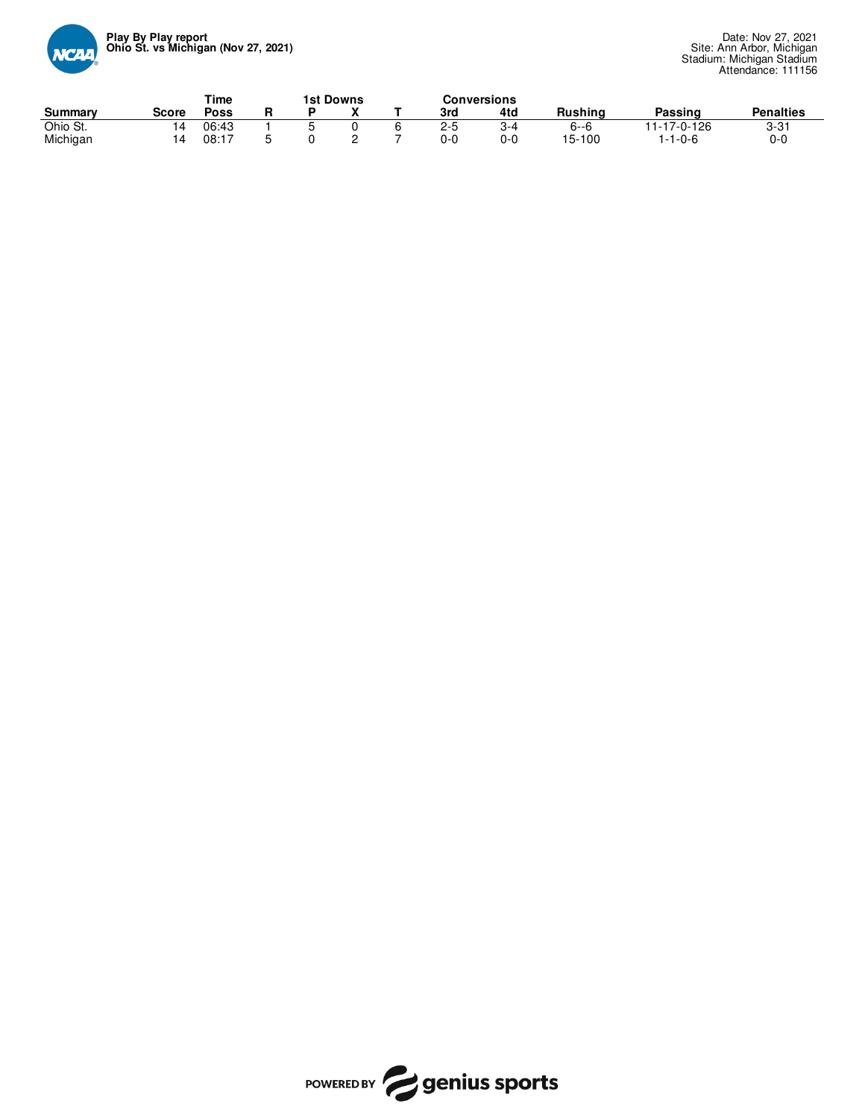

|          |       | Time        |  | <b>1st Downs</b> |  |  |         | Conversions |                |             |                  |  |
|----------|-------|-------------|--|------------------|--|--|---------|-------------|----------------|-------------|------------------|--|
| Summary  | Score | <b>Poss</b> |  |                  |  |  | 3rd     | 4td         | <b>Rushing</b> | Passino     | <b>Penalties</b> |  |
| Ohio St. |       | 06:43       |  |                  |  |  | $2 - 5$ |             | $6 - 6$        | 11-17-0-126 | $3 - 31$         |  |
| Michigan |       | 08:17       |  |                  |  |  | 0-0     | 0-0         | 15-100         | -1-0-6      | $0 - 0$          |  |